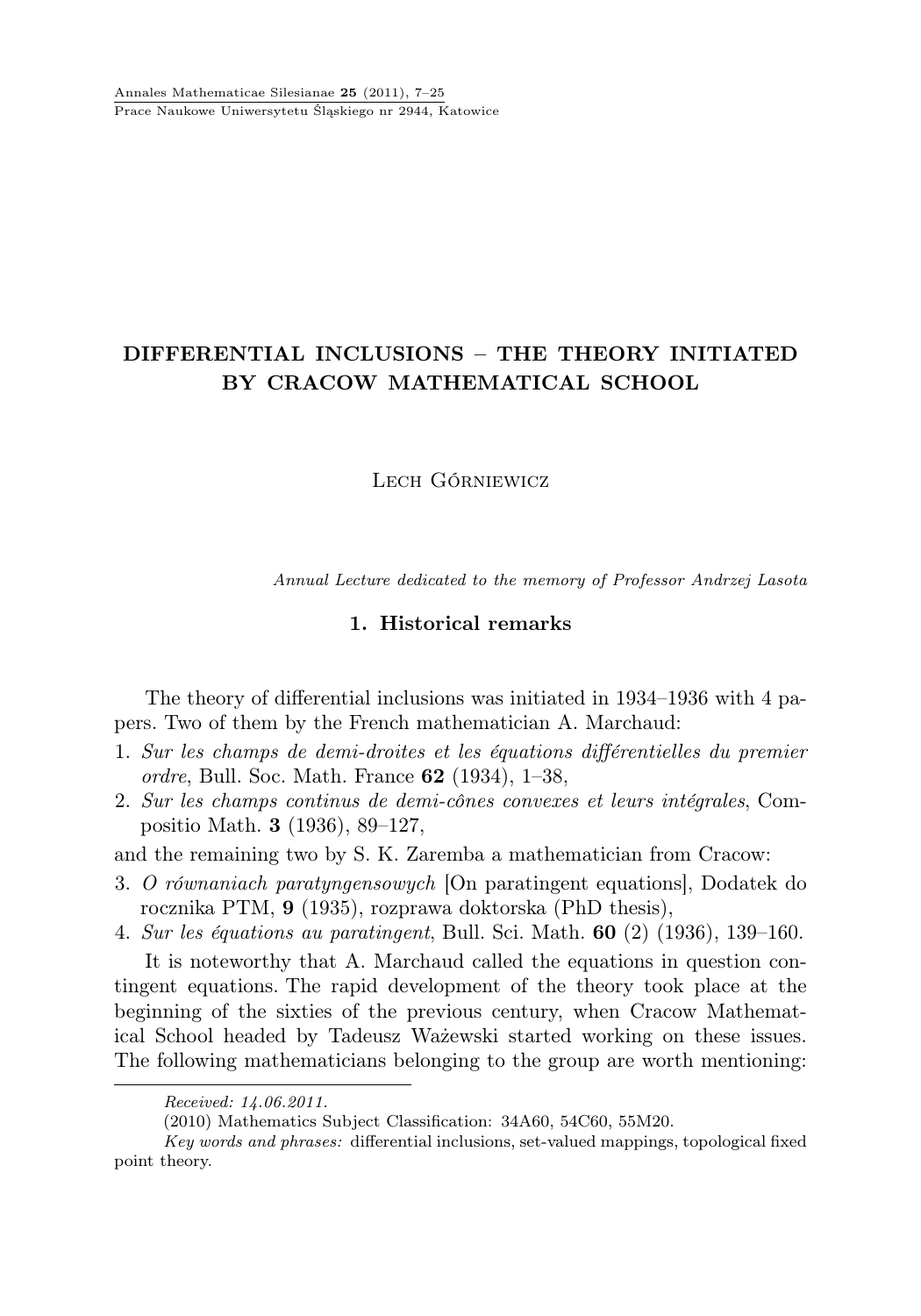# DIFFERENTIAL INCLUSIONS – THE THEORY INITIATED BY CRACOW MATHEMATICAL SCHOOL

## LECH GÓRNIEWICZ

Annual Lecture dedicated to the memory of Professor Andrzej Lasota

## 1. Historical remarks

The theory of differential inclusions was initiated in 1934–1936 with 4 papers. Two of them by the French mathematician A. Marchaud:

- 1. Sur les champs de demi-droites et les équations différentielles du premier ordre, Bull. Soc. Math. France 62 (1934), 1–38,
- 2. Sur les champs continus de demi-cônes convexes et leurs intégrales, Compositio Math. 3 (1936), 89–127,

and the remaining two by S. K. Zaremba a mathematician from Cracow:

3. O równaniach paratyngensowych [On paratingent equations], Dodatek do rocznika PTM, 9 (1935), rozprawa doktorska (PhD thesis),

4. Sur les équations au paratingent, Bull. Sci. Math. 60 (2) (1936), 139–160.

It is noteworthy that A. Marchaud called the equations in question contingent equations. The rapid development of the theory took place at the beginning of the sixties of the previous century, when Cracow Mathematical School headed by Tadeusz Ważewski started working on these issues. The following mathematicians belonging to the group are worth mentioning:

Received: 14.06.2011.

<sup>(2010)</sup> Mathematics Subject Classification: 34A60, 54C60, 55M20.

Key words and phrases: differential inclusions, set-valued mappings, topological fixed point theory.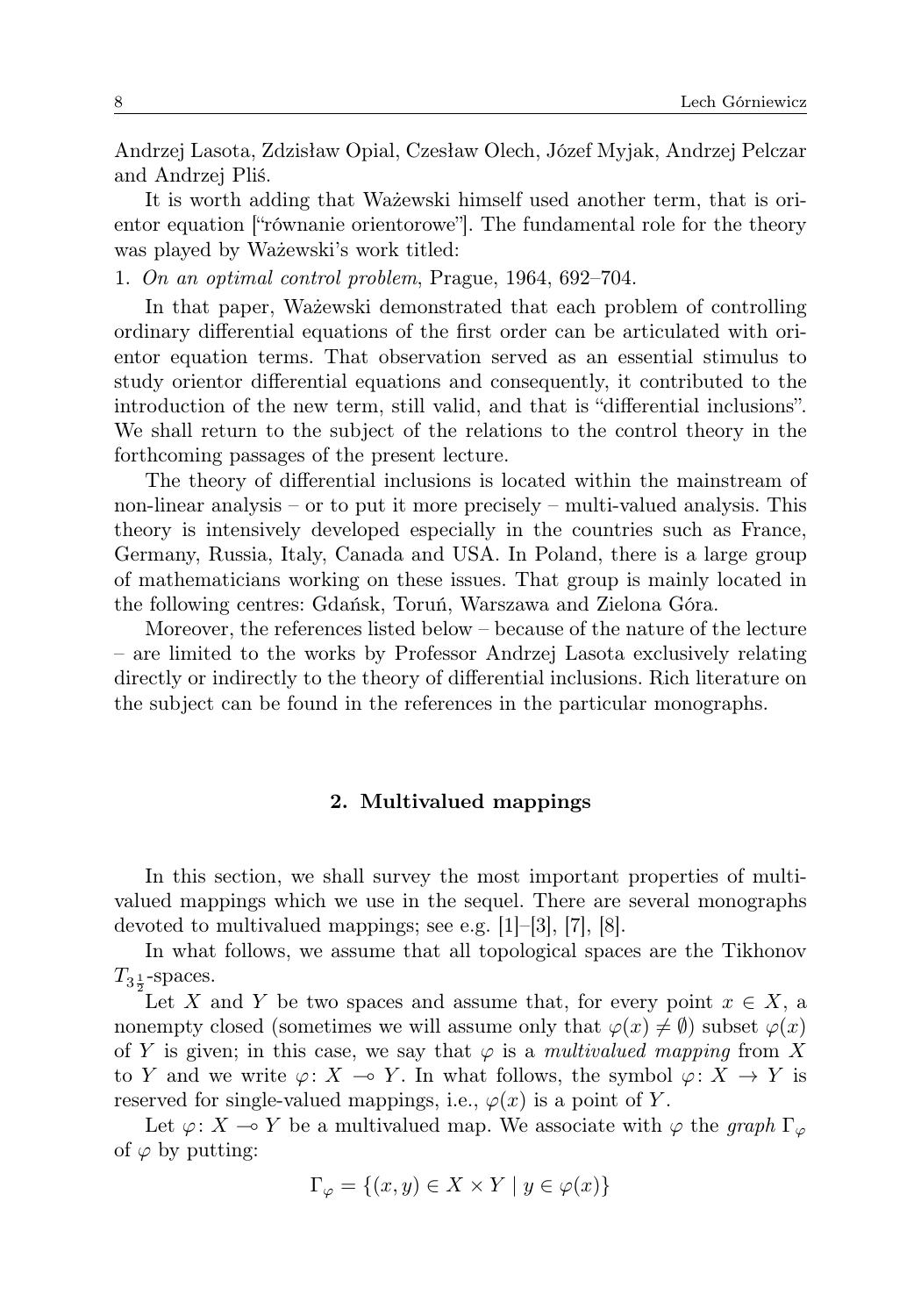Andrzej Lasota, Zdzisław Opial, Czesław Olech, Józef Myjak, Andrzej Pelczar and Andrzej Pliś.

It is worth adding that Ważewski himself used another term, that is orientor equation ["równanie orientorowe"]. The fundamental role for the theory was played by Ważewski's work titled:

1. On an optimal control problem, Prague, 1964, 692–704.

In that paper, Ważewski demonstrated that each problem of controlling ordinary differential equations of the first order can be articulated with orientor equation terms. That observation served as an essential stimulus to study orientor differential equations and consequently, it contributed to the introduction of the new term, still valid, and that is "differential inclusions". We shall return to the subject of the relations to the control theory in the forthcoming passages of the present lecture.

The theory of differential inclusions is located within the mainstream of non-linear analysis – or to put it more precisely – multi-valued analysis. This theory is intensively developed especially in the countries such as France, Germany, Russia, Italy, Canada and USA. In Poland, there is a large group of mathematicians working on these issues. That group is mainly located in the following centres: Gdańsk, Toruń, Warszawa and Zielona Góra.

Moreover, the references listed below – because of the nature of the lecture – are limited to the works by Professor Andrzej Lasota exclusively relating directly or indirectly to the theory of differential inclusions. Rich literature on the subject can be found in the references in the particular monographs.

#### 2. Multivalued mappings

In this section, we shall survey the most important properties of multivalued mappings which we use in the sequel. There are several monographs devoted to multivalued mappings; see e.g. [1]–[3], [7], [8].

In what follows, we assume that all topological spaces are the Tikhonov  $T_{3\frac{1}{2}}$ -spaces.

Let X and Y be two spaces and assume that, for every point  $x \in X$ , a nonempty closed (sometimes we will assume only that  $\varphi(x) \neq \emptyset$ ) subset  $\varphi(x)$ of Y is given; in this case, we say that  $\varphi$  is a multivalued mapping from X to Y and we write  $\varphi: X \to Y$ . In what follows, the symbol  $\varphi: X \to Y$  is reserved for single-valued mappings, i.e.,  $\varphi(x)$  is a point of Y.

Let  $\varphi: X \to Y$  be a multivalued map. We associate with  $\varphi$  the graph  $\Gamma_{\varphi}$ of  $\varphi$  by putting:

$$
\Gamma_{\varphi} = \{(x, y) \in X \times Y \mid y \in \varphi(x)\}\
$$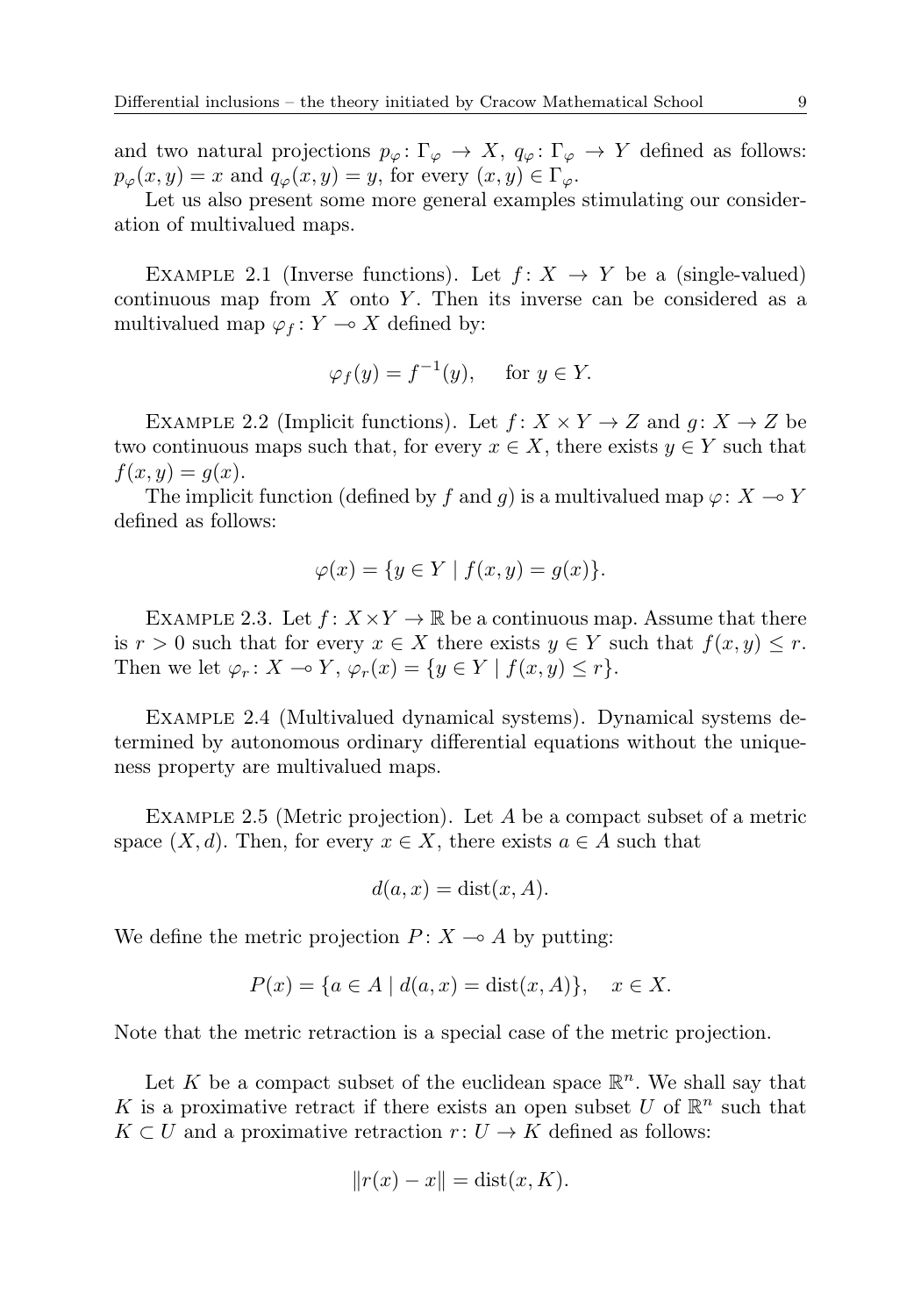and two natural projections  $p_{\varphi} \colon \Gamma_{\varphi} \to X$ ,  $q_{\varphi} \colon \Gamma_{\varphi} \to Y$  defined as follows:  $p_{\varphi}(x, y) = x$  and  $q_{\varphi}(x, y) = y$ , for every  $(x, y) \in \Gamma_{\varphi}$ .

Let us also present some more general examples stimulating our consideration of multivalued maps.

EXAMPLE 2.1 (Inverse functions). Let  $f: X \rightarrow Y$  be a (single-valued) continuous map from  $X$  onto  $Y$ . Then its inverse can be considered as a multivalued map  $\varphi_f : Y \longrightarrow X$  defined by:

$$
\varphi_f(y) = f^{-1}(y), \quad \text{ for } y \in Y.
$$

EXAMPLE 2.2 (Implicit functions). Let  $f: X \times Y \to Z$  and  $g: X \to Z$  be two continuous maps such that, for every  $x \in X$ , there exists  $y \in Y$  such that  $f(x, y) = g(x)$ .

The implicit function (defined by f and q) is a multivalued map  $\varphi: X \to Y$ defined as follows:

$$
\varphi(x) = \{ y \in Y \mid f(x, y) = g(x) \}.
$$

EXAMPLE 2.3. Let  $f: X \times Y \to \mathbb{R}$  be a continuous map. Assume that there is  $r > 0$  such that for every  $x \in X$  there exists  $y \in Y$  such that  $f(x, y) \leq r$ . Then we let  $\varphi_r : X \to Y$ ,  $\varphi_r(x) = \{y \in Y \mid f(x, y) \leq r\}.$ 

Example 2.4 (Multivalued dynamical systems). Dynamical systems determined by autonomous ordinary differential equations without the uniqueness property are multivalued maps.

Example 2.5 (Metric projection). Let A be a compact subset of a metric space  $(X, d)$ . Then, for every  $x \in X$ , there exists  $a \in A$  such that

$$
d(a, x) = \text{dist}(x, A).
$$

We define the metric projection  $P: X \rightarrow A$  by putting:

$$
P(x) = \{a \in A \mid d(a, x) = \text{dist}(x, A)\}, \quad x \in X.
$$

Note that the metric retraction is a special case of the metric projection.

Let K be a compact subset of the euclidean space  $\mathbb{R}^n$ . We shall say that K is a proximative retract if there exists an open subset U of  $\mathbb{R}^n$  such that  $K \subset U$  and a proximative retraction  $r: U \to K$  defined as follows:

$$
||r(x) - x|| = \text{dist}(x, K).
$$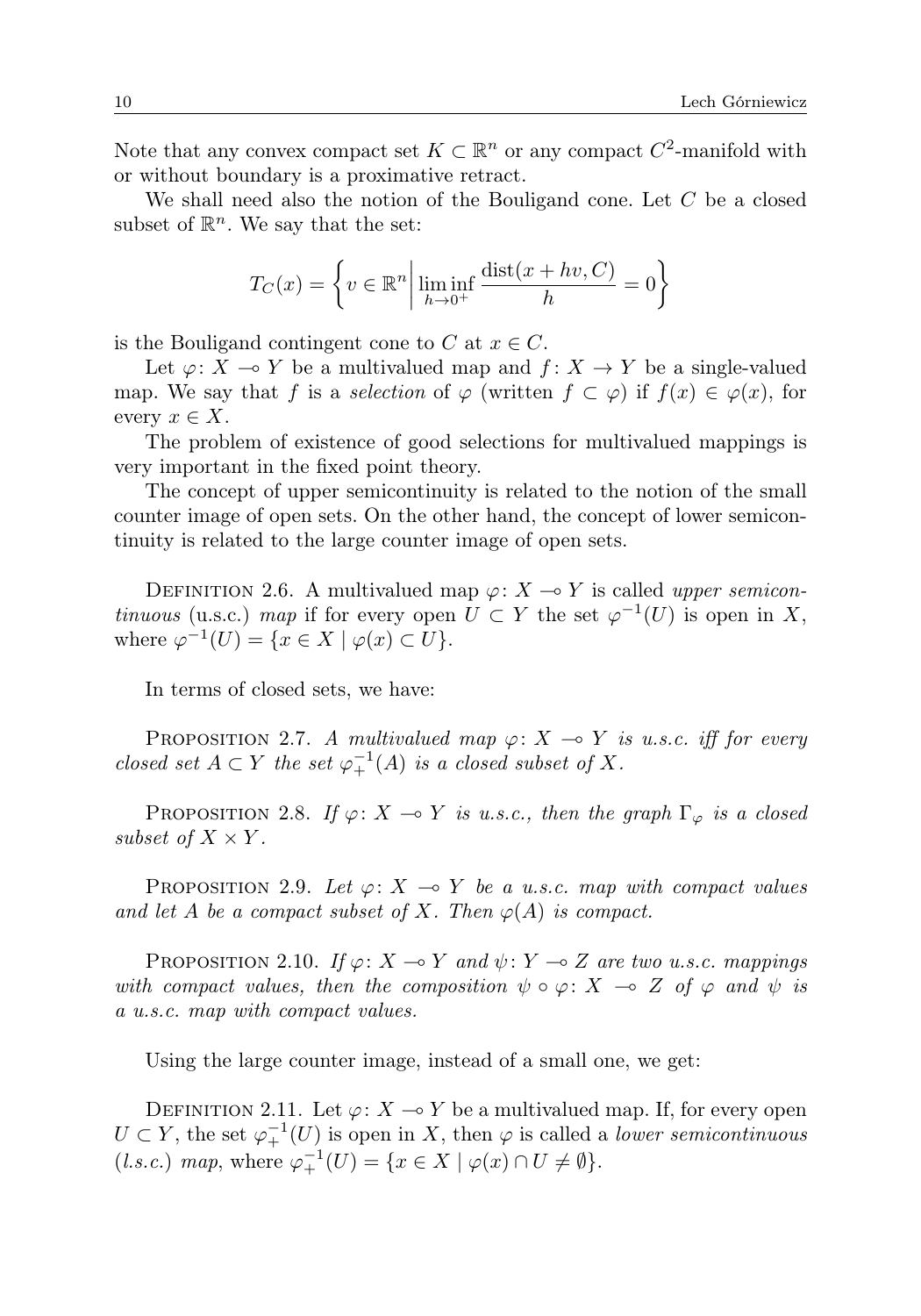Note that any convex compact set  $K \subset \mathbb{R}^n$  or any compact  $C^2$ -manifold with or without boundary is a proximative retract.

We shall need also the notion of the Bouligand cone. Let C be a closed subset of  $\mathbb{R}^n$ . We say that the set:

$$
T_C(x) = \left\{ v \in \mathbb{R}^n \middle| \liminf_{h \to 0^+} \frac{\text{dist}(x + hv, C)}{h} = 0 \right\}
$$

is the Bouligand contingent cone to C at  $x \in C$ .

Let  $\varphi: X \to Y$  be a multivalued map and  $f: X \to Y$  be a single-valued map. We say that f is a selection of  $\varphi$  (written  $f \subset \varphi$ ) if  $f(x) \in \varphi(x)$ , for every  $x \in X$ .

The problem of existence of good selections for multivalued mappings is very important in the fixed point theory.

The concept of upper semicontinuity is related to the notion of the small counter image of open sets. On the other hand, the concept of lower semicontinuity is related to the large counter image of open sets.

DEFINITION 2.6. A multivalued map  $\varphi: X \to Y$  is called upper semicontinuous (u.s.c.) map if for every open  $U \subset Y$  the set  $\varphi^{-1}(U)$  is open in X, where  $\varphi^{-1}(U) = \{x \in X \mid \varphi(x) \subset U\}.$ 

In terms of closed sets, we have:

PROPOSITION 2.7. A multivalued map  $\varphi: X \to Y$  is u.s.c. iff for every closed set  $A \subset Y$  the set  $\varphi_+^{-1}(A)$  is a closed subset of X.

PROPOSITION 2.8. If  $\varphi: X \to Y$  is u.s.c., then the graph  $\Gamma_{\varphi}$  is a closed subset of  $X \times Y$ .

PROPOSITION 2.9. Let  $\varphi: X \to Y$  be a u.s.c. map with compact values and let A be a compact subset of X. Then  $\varphi(A)$  is compact.

PROPOSITION 2.10. If  $\varphi: X \to Y$  and  $\psi: Y \to Z$  are two u.s.c. mappings with compact values, then the composition  $\psi \circ \varphi \colon X \multimap Z$  of  $\varphi$  and  $\psi$  is a u.s.c. map with compact values.

Using the large counter image, instead of a small one, we get:

DEFINITION 2.11. Let  $\varphi: X \to Y$  be a multivalued map. If, for every open  $U \subset Y$ , the set  $\varphi^{-1}_+(U)$  is open in X, then  $\varphi$  is called a *lower semicontinuous* (*l.s.c.*) map, where  $\varphi_+^{-1}(U) = \{x \in X \mid \varphi(x) \cap U \neq \emptyset\}.$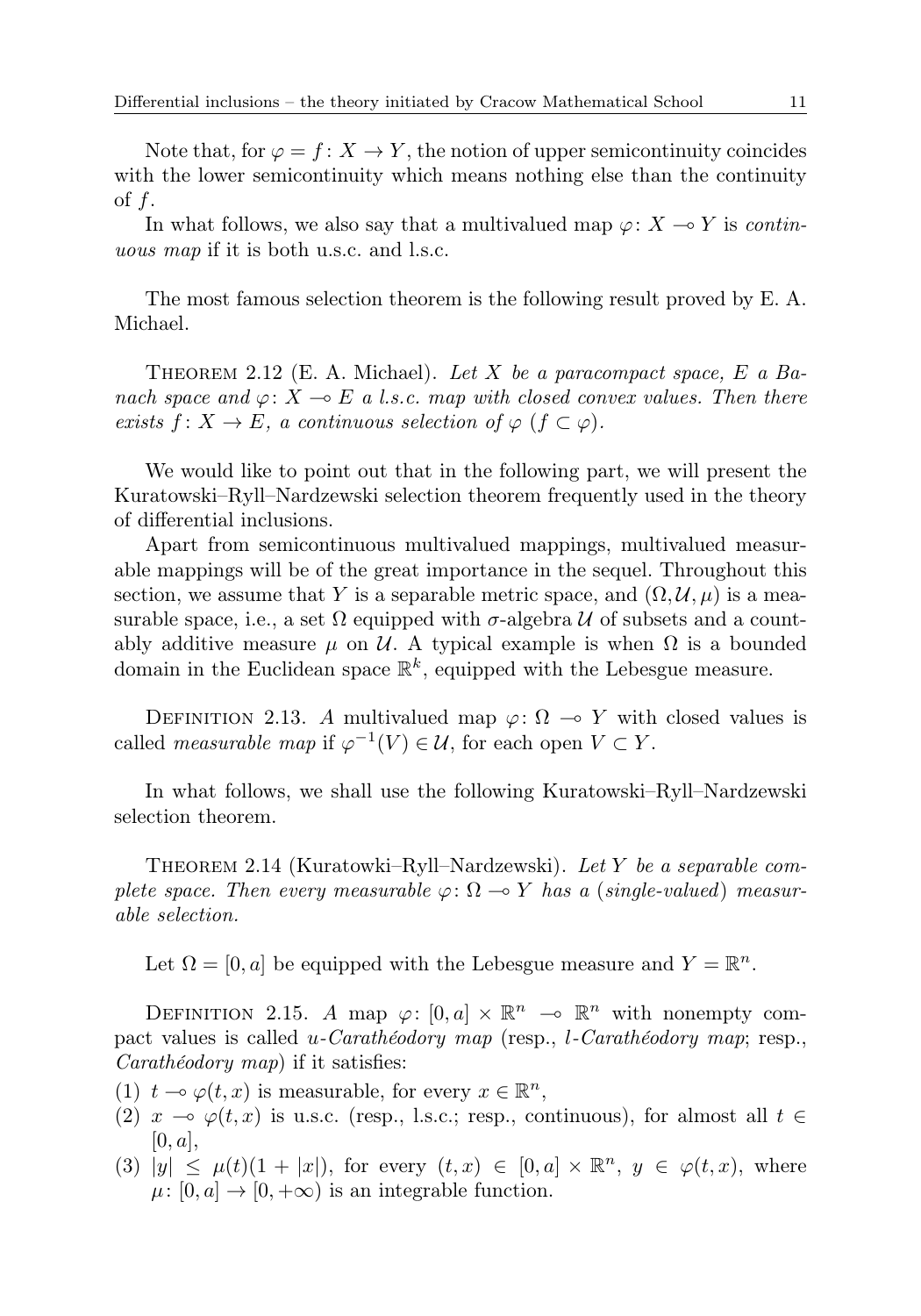In what follows, we also say that a multivalued map  $\varphi: X \to Y$  is continuous map if it is both u.s.c. and l.s.c.

The most famous selection theorem is the following result proved by E. A. Michael.

THEOREM 2.12 (E. A. Michael). Let X be a paracompact space, E a Banach space and  $\varphi: X \to E$  a l.s.c. map with closed convex values. Then there exists  $f: X \to E$ , a continuous selection of  $\varphi$   $(f \subset \varphi)$ .

We would like to point out that in the following part, we will present the Kuratowski–Ryll–Nardzewski selection theorem frequently used in the theory of differential inclusions.

Apart from semicontinuous multivalued mappings, multivalued measurable mappings will be of the great importance in the sequel. Throughout this section, we assume that Y is a separable metric space, and  $(\Omega, \mathcal{U}, \mu)$  is a measurable space, i.e., a set  $\Omega$  equipped with  $\sigma$ -algebra U of subsets and a countably additive measure  $\mu$  on U. A typical example is when  $\Omega$  is a bounded domain in the Euclidean space  $\mathbb{R}^k$ , equipped with the Lebesgue measure.

DEFINITION 2.13. A multivalued map  $\varphi: \Omega \to Y$  with closed values is called *measurable map* if  $\varphi^{-1}(V) \in \mathcal{U}$ , for each open  $V \subset Y$ .

In what follows, we shall use the following Kuratowski–Ryll–Nardzewski selection theorem.

THEOREM 2.14 (Kuratowki–Ryll–Nardzewski). Let Y be a separable complete space. Then every measurable  $\varphi \colon \Omega \to Y$  has a (single-valued) measurable selection.

Let  $\Omega = [0, a]$  be equipped with the Lebesgue measure and  $Y = \mathbb{R}^n$ .

DEFINITION 2.15. A map  $\varphi: [0, a] \times \mathbb{R}^n \to \mathbb{R}^n$  with nonempty compact values is called u-Carathéodory map (resp., l-Carathéodory map; resp., Carathéodory map) if it satisfies:

- (1)  $t \to \varphi(t, x)$  is measurable, for every  $x \in \mathbb{R}^n$ ,
- (2)  $x \multimap \varphi(t, x)$  is u.s.c. (resp., l.s.c.; resp., continuous), for almost all  $t \in$  $[0, a],$
- (3)  $|y| \leq \mu(t)(1+|x|)$ , for every  $(t, x) \in [0, a] \times \mathbb{R}^n$ ,  $y \in \varphi(t, x)$ , where  $\mu: [0, a] \to [0, +\infty)$  is an integrable function.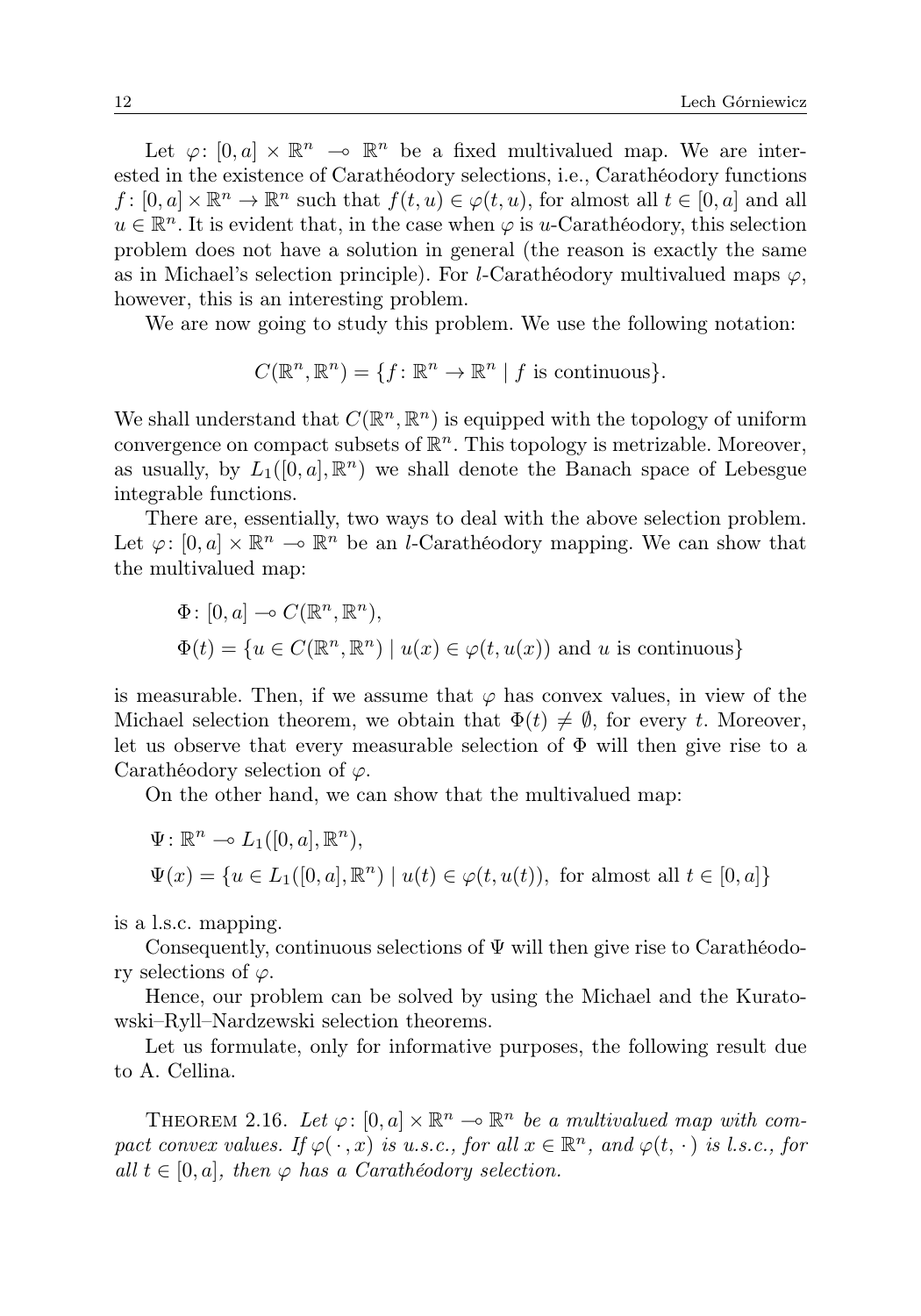Let  $\varphi: [0, a] \times \mathbb{R}^n \to \mathbb{R}^n$  be a fixed multivalued map. We are interested in the existence of Carathéodory selections, i.e., Carathéodory functions  $f: [0, a] \times \mathbb{R}^n \to \mathbb{R}^n$  such that  $f(t, u) \in \varphi(t, u)$ , for almost all  $t \in [0, a]$  and all  $u \in \mathbb{R}^n$ . It is evident that, in the case when  $\varphi$  is u-Carathéodory, this selection problem does not have a solution in general (the reason is exactly the same as in Michael's selection principle). For *l*-Carathéodory multivalued maps  $\varphi$ , however, this is an interesting problem.

We are now going to study this problem. We use the following notation:

$$
C(\mathbb{R}^n, \mathbb{R}^n) = \{f \colon \mathbb{R}^n \to \mathbb{R}^n \mid f \text{ is continuous}\}.
$$

We shall understand that  $C(\mathbb{R}^n, \mathbb{R}^n)$  is equipped with the topology of uniform convergence on compact subsets of  $\mathbb{R}^n$ . This topology is metrizable. Moreover, as usually, by  $L_1([0, a], \mathbb{R}^n)$  we shall denote the Banach space of Lebesgue integrable functions.

There are, essentially, two ways to deal with the above selection problem. Let  $\varphi: [0, a] \times \mathbb{R}^n \to \mathbb{R}^n$  be an *l*-Carathéodory mapping. We can show that the multivalued map:

$$
\Phi \colon [0, a] \to C(\mathbb{R}^n, \mathbb{R}^n),
$$
  

$$
\Phi(t) = \{ u \in C(\mathbb{R}^n, \mathbb{R}^n) \mid u(x) \in \varphi(t, u(x)) \text{ and } u \text{ is continuous} \}
$$

is measurable. Then, if we assume that  $\varphi$  has convex values, in view of the Michael selection theorem, we obtain that  $\Phi(t) \neq \emptyset$ , for every t. Moreover, let us observe that every measurable selection of  $\Phi$  will then give rise to a Carathéodory selection of  $\varphi$ .

On the other hand, we can show that the multivalued map:

$$
\Psi: \mathbb{R}^n \to L_1([0, a], \mathbb{R}^n),
$$
  

$$
\Psi(x) = \{u \in L_1([0, a], \mathbb{R}^n) \mid u(t) \in \varphi(t, u(t)), \text{ for almost all } t \in [0, a]\}
$$

is a l.s.c. mapping.

Consequently, continuous selections of  $\Psi$  will then give rise to Carathéodory selections of  $\varphi$ .

Hence, our problem can be solved by using the Michael and the Kuratowski–Ryll–Nardzewski selection theorems.

Let us formulate, only for informative purposes, the following result due to A. Cellina.

THEOREM 2.16. Let  $\varphi: [0, a] \times \mathbb{R}^n \to \mathbb{R}^n$  be a multivalued map with compact convex values. If  $\varphi(\cdot, x)$  is u.s.c., for all  $x \in \mathbb{R}^n$ , and  $\varphi(t, \cdot)$  is l.s.c., for all  $t \in [0, a]$ , then  $\varphi$  has a Carathéodory selection.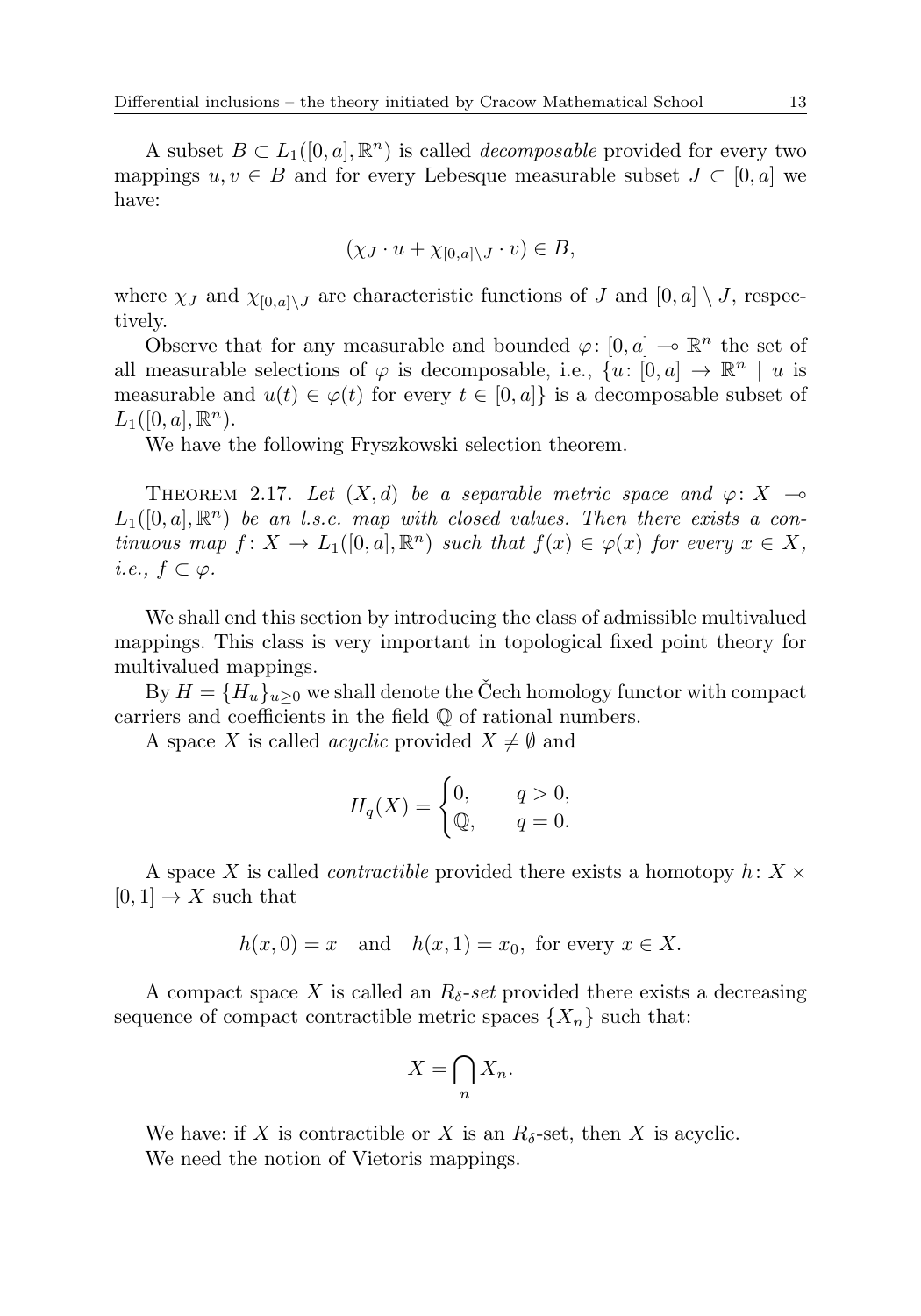A subset  $B \subset L_1([0, a], \mathbb{R}^n)$  is called *decomposable* provided for every two mappings  $u, v \in B$  and for every Lebesque measurable subset  $J \subset [0, a]$  we have:

$$
(\chi_J \cdot u + \chi_{[0,a] \setminus J} \cdot v) \in B,
$$

where  $\chi_J$  and  $\chi_{[0,a]\setminus J}$  are characteristic functions of J and  $[0,a] \setminus J$ , respectively.

Observe that for any measurable and bounded  $\varphi$ : [0, a]  $\multimap \mathbb{R}^n$  the set of all measurable selections of  $\varphi$  is decomposable, i.e.,  $\{u: [0, a] \to \mathbb{R}^n \mid u$  is measurable and  $u(t) \in \varphi(t)$  for every  $t \in [0, a]$  is a decomposable subset of  $L_1([0, a], \mathbb{R}^n)$ .

We have the following Fryszkowski selection theorem.

THEOREM 2.17. Let  $(X, d)$  be a separable metric space and  $\varphi: X \rightarrow$  $L_1([0,a],\mathbb{R}^n)$  be an l.s.c. map with closed values. Then there exists a continuous map  $f: X \to L_1([0, a], \mathbb{R}^n)$  such that  $f(x) \in \varphi(x)$  for every  $x \in X$ , i.e.,  $f \subset \varphi$ .

We shall end this section by introducing the class of admissible multivalued mappings. This class is very important in topological fixed point theory for multivalued mappings.

By  $H = \{H_u\}_{u>0}$  we shall denote the Čech homology functor with compact carriers and coefficients in the field Q of rational numbers.

A space X is called *acyclic* provided  $X \neq \emptyset$  and

$$
H_q(X) = \begin{cases} 0, & q > 0, \\ \mathbb{Q}, & q = 0. \end{cases}
$$

A space X is called *contractible* provided there exists a homotopy  $h: X \times$  $[0, 1] \rightarrow X$  such that

$$
h(x,0) = x \quad \text{and} \quad h(x,1) = x_0, \text{ for every } x \in X.
$$

A compact space X is called an  $R_{\delta}$ -set provided there exists a decreasing sequence of compact contractible metric spaces  $\{X_n\}$  such that:

$$
X = \bigcap_n X_n.
$$

We have: if X is contractible or X is an  $R_{\delta}$ -set, then X is acyclic. We need the notion of Vietoris mappings.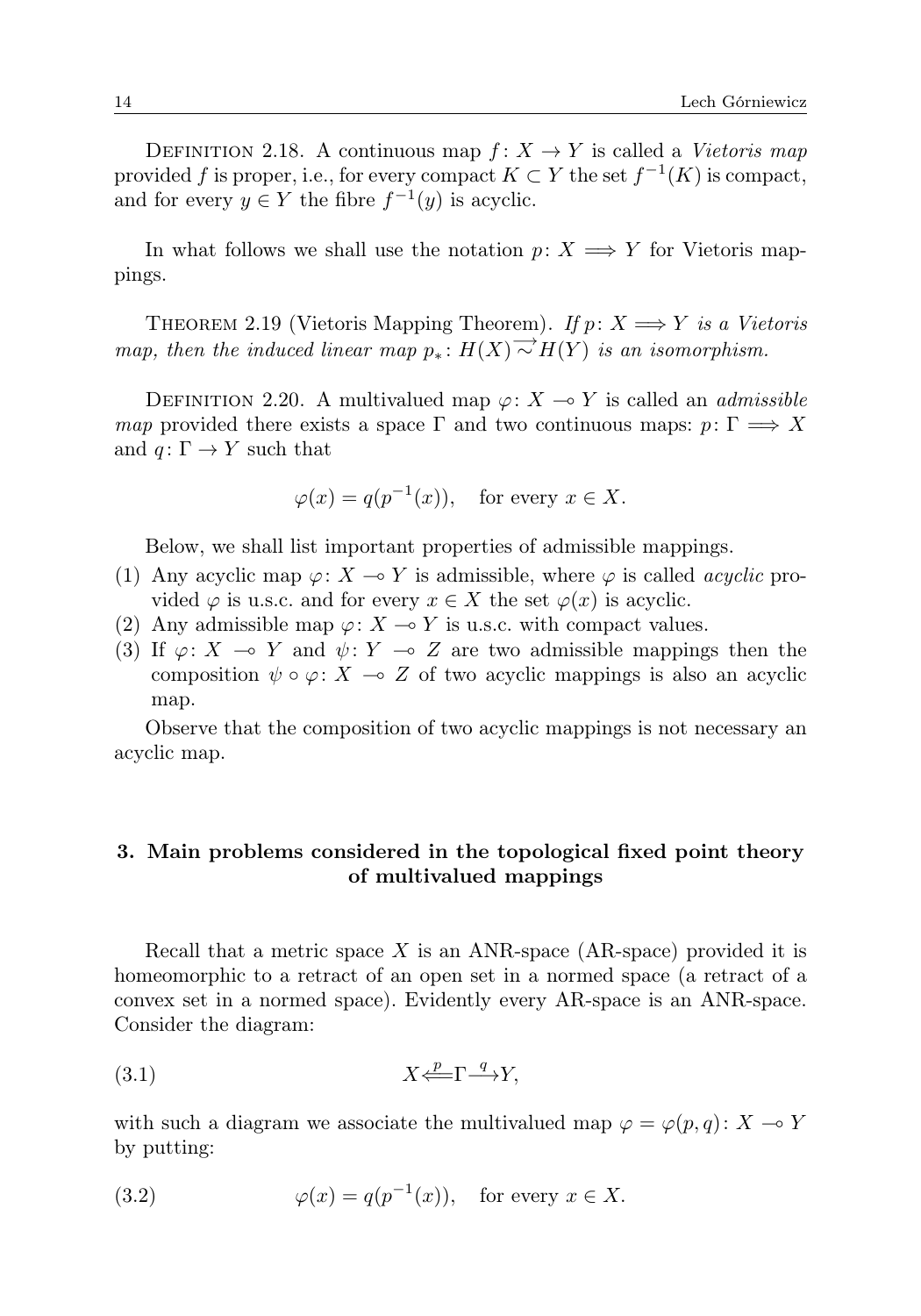DEFINITION 2.18. A continuous map  $f: X \to Y$  is called a Vietoris map provided f is proper, i.e., for every compact  $K \subset Y$  the set  $f^{-1}(K)$  is compact, and for every  $y \in Y$  the fibre  $f^{-1}(y)$  is acyclic.

In what follows we shall use the notation  $p: X \longrightarrow Y$  for Vietoris mappings.

THEOREM 2.19 (Vietoris Mapping Theorem). If  $p: X \longrightarrow Y$  is a Vietoris map, then the induced linear map  $p_* : H(X) \to H(Y)$  is an isomorphism.

DEFINITION 2.20. A multivalued map  $\varphi: X \to Y$  is called an *admissible* map provided there exists a space  $\Gamma$  and two continuous maps:  $p: \Gamma \implies X$ and  $q: \Gamma \to Y$  such that

$$
\varphi(x) = q(p^{-1}(x)),
$$
 for every  $x \in X$ .

Below, we shall list important properties of admissible mappings.

- (1) Any acyclic map  $\varphi: X \to Y$  is admissible, where  $\varphi$  is called *acyclic* provided  $\varphi$  is u.s.c. and for every  $x \in X$  the set  $\varphi(x)$  is acyclic.
- (2) Any admissible map  $\varphi: X \to Y$  is u.s.c. with compact values.
- (3) If  $\varphi: X \multimap Y$  and  $\psi: Y \multimap Z$  are two admissible mappings then the composition  $\psi \circ \varphi$ :  $X \multimap Z$  of two acyclic mappings is also an acyclic map.

Observe that the composition of two acyclic mappings is not necessary an acyclic map.

# 3. Main problems considered in the topological fixed point theory of multivalued mappings

Recall that a metric space  $X$  is an ANR-space (AR-space) provided it is homeomorphic to a retract of an open set in a normed space (a retract of a convex set in a normed space). Evidently every AR-space is an ANR-space. Consider the diagram:

(3.1) X <sup>p</sup> ⇐=Γ <sup>q</sup> −→Y,

with such a diagram we associate the multivalued map  $\varphi = \varphi(p,q) : X \to Y$ by putting:

(3.2) 
$$
\varphi(x) = q(p^{-1}(x)), \text{ for every } x \in X.
$$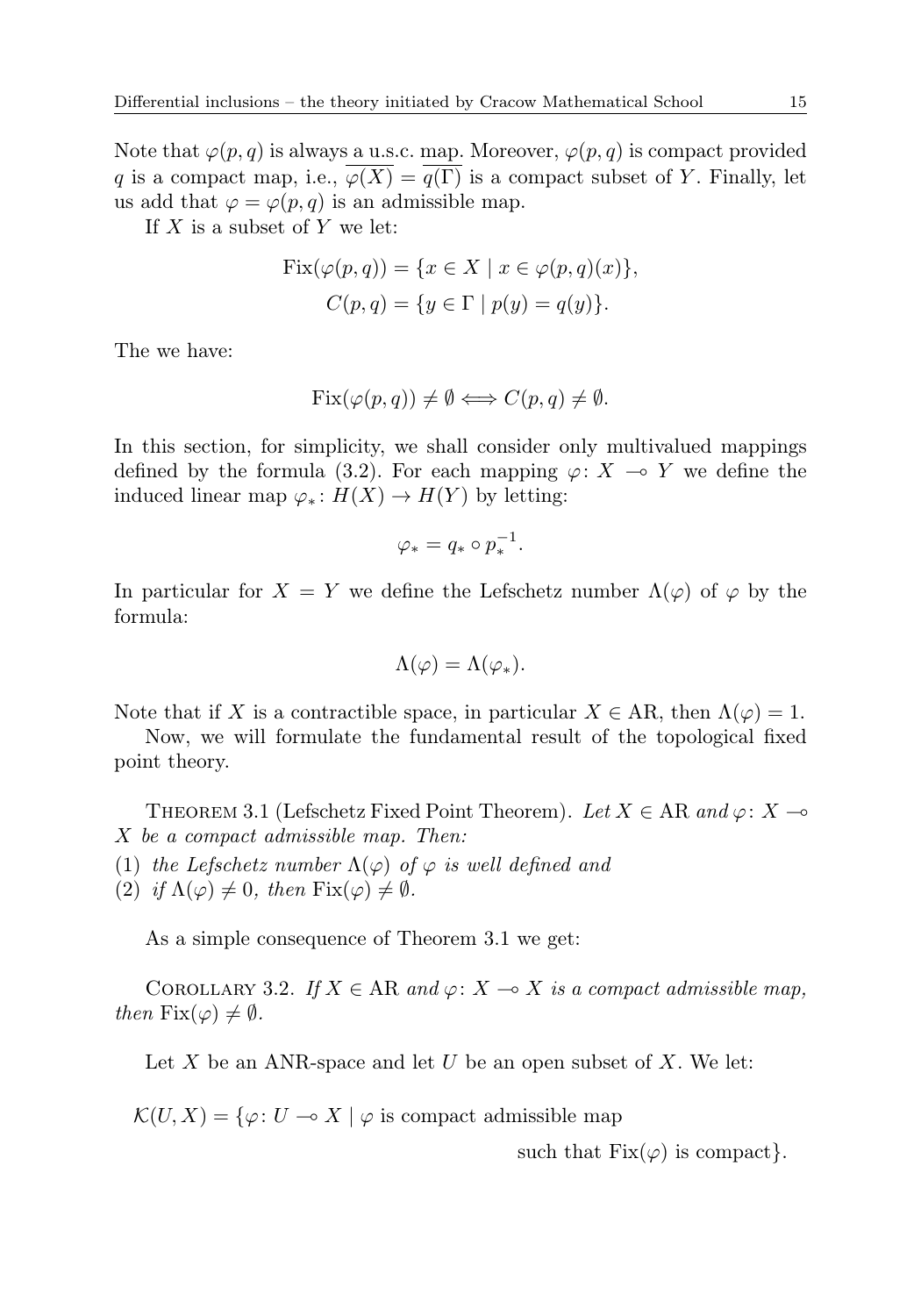Note that  $\varphi(p,q)$  is always a u.s.c. map. Moreover,  $\varphi(p,q)$  is compact provided q is a compact map, i.e.,  $\overline{\varphi(X)} = \overline{q(\Gamma)}$  is a compact subset of Y. Finally, let us add that  $\varphi = \varphi(p,q)$  is an admissible map.

If  $X$  is a subset of  $Y$  we let:

$$
Fix(\varphi(p,q)) = \{x \in X \mid x \in \varphi(p,q)(x)\},\
$$

$$
C(p,q) = \{y \in \Gamma \mid p(y) = q(y)\}.
$$

The we have:

$$
Fix(\varphi(p,q)) \neq \emptyset \Longleftrightarrow C(p,q) \neq \emptyset.
$$

In this section, for simplicity, we shall consider only multivalued mappings defined by the formula (3.2). For each mapping  $\varphi: X \to Y$  we define the induced linear map  $\varphi_*: H(X) \to H(Y)$  by letting:

$$
\varphi_* = q_* \circ p_*^{-1}.
$$

In particular for  $X = Y$  we define the Lefschetz number  $\Lambda(\varphi)$  of  $\varphi$  by the formula:

$$
\Lambda(\varphi) = \Lambda(\varphi_*).
$$

Note that if X is a contractible space, in particular  $X \in AR$ , then  $\Lambda(\varphi) = 1$ .

Now, we will formulate the fundamental result of the topological fixed point theory.

THEOREM 3.1 (Lefschetz Fixed Point Theorem). Let  $X \in AR$  and  $\varphi: X \to$ X be a compact admissible map. Then:

- (1) the Lefschetz number  $\Lambda(\varphi)$  of  $\varphi$  is well defined and
- (2) if  $\Lambda(\varphi) \neq 0$ , then  $Fix(\varphi) \neq \emptyset$ .

As a simple consequence of Theorem 3.1 we get:

COROLLARY 3.2. If  $X \in AR$  and  $\varphi: X \to X$  is a compact admissible map, then  $Fix(\varphi) \neq \emptyset$ .

Let  $X$  be an ANR-space and let  $U$  be an open subset of  $X$ . We let:

 $\mathcal{K}(U, X) = \{ \varphi \colon U \multimap X \mid \varphi \text{ is compact admissible map} \}$ 

such that  $Fix(\varphi)$  is compact.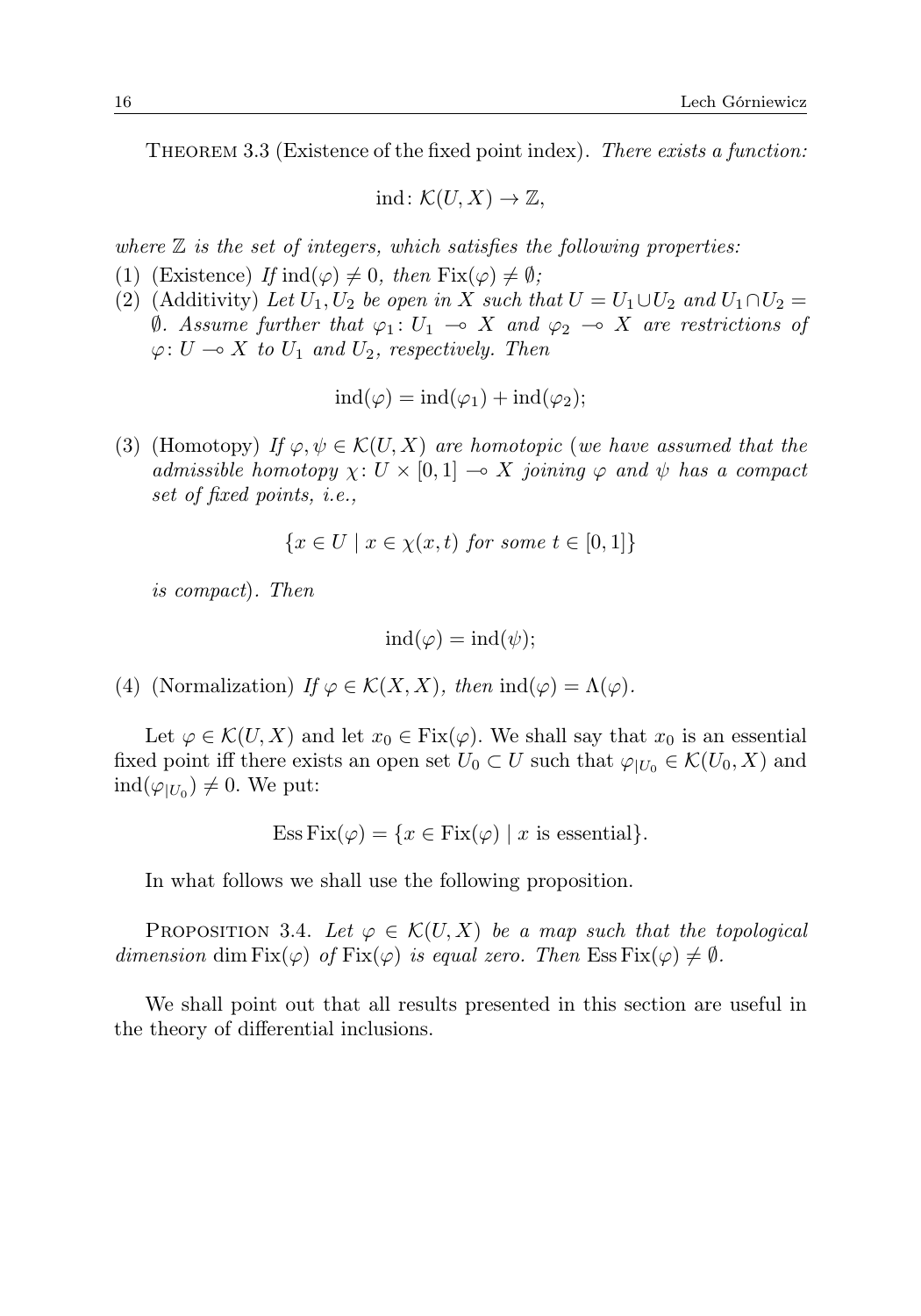THEOREM 3.3 (Existence of the fixed point index). There exists a function:

$$
ind\colon \mathcal{K}(U,X)\to \mathbb{Z},
$$

where  $\mathbb Z$  is the set of integers, which satisfies the following properties:

- (1) (Existence) If  $\text{ind}(\varphi) \neq 0$ , then  $\text{Fix}(\varphi) \neq \emptyset$ ;
- (2) (Additivity) Let  $U_1, U_2$  be open in X such that  $U = U_1 \cup U_2$  and  $U_1 \cap U_2 =$  $θ$ . Assume further that  $φ_1: U_1 → X$  and  $φ_2 → X$  are restrictions of  $\varphi: U \longrightarrow X$  to  $U_1$  and  $U_2$ , respectively. Then

$$
ind(\varphi) = ind(\varphi_1) + ind(\varphi_2);
$$

(3) (Homotopy) If  $\varphi, \psi \in \mathcal{K}(U, X)$  are homotopic (we have assumed that the admissible homotopy  $\chi: U \times [0, 1] \longrightarrow X$  joining  $\varphi$  and  $\psi$  has a compact set of fixed points, i.e.,

$$
\{x \in U \mid x \in \chi(x, t) \text{ for some } t \in [0, 1]\}
$$

is compact). Then

$$
\mathrm{ind}(\varphi)=\mathrm{ind}(\psi);
$$

(4) (Normalization) If  $\varphi \in \mathcal{K}(X,X)$ , then  $\text{ind}(\varphi) = \Lambda(\varphi)$ .

Let  $\varphi \in \mathcal{K}(U, X)$  and let  $x_0 \in \text{Fix}(\varphi)$ . We shall say that  $x_0$  is an essential fixed point iff there exists an open set  $U_0 \subset U$  such that  $\varphi_{|U_0} \in \mathcal{K}(U_0, X)$  and  $\operatorname{ind}(\varphi_{|U_0}) \neq 0$ . We put:

Ess Fix
$$
(\varphi)
$$
 = { $x \in Fix(\varphi)$  | x is essential}.

In what follows we shall use the following proposition.

PROPOSITION 3.4. Let  $\varphi \in \mathcal{K}(U,X)$  be a map such that the topological dimension dim  $Fix(\varphi)$  of  $Fix(\varphi)$  is equal zero. Then  $Ess\,Fix(\varphi)\neq\emptyset$ .

We shall point out that all results presented in this section are useful in the theory of differential inclusions.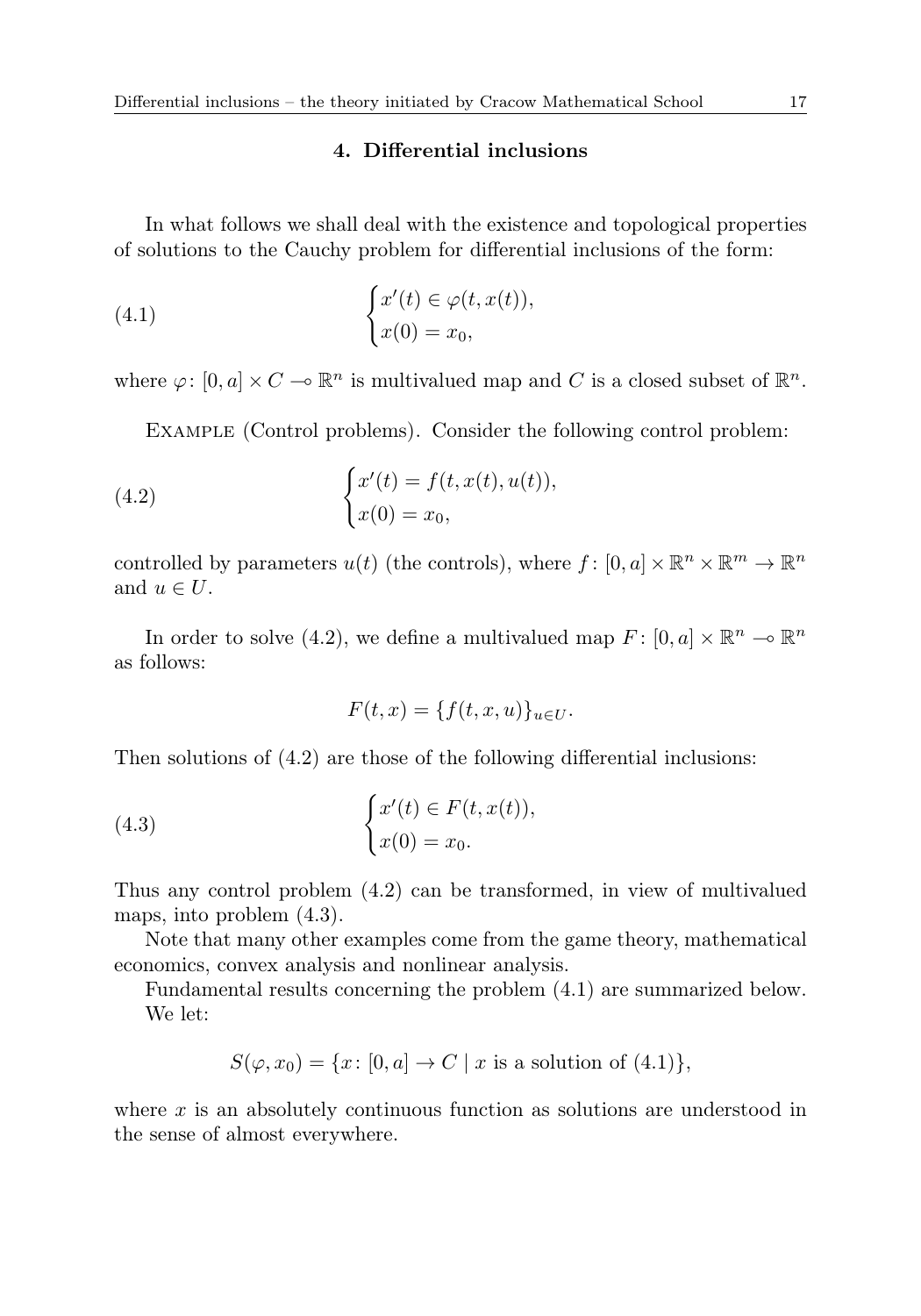## 4. Differential inclusions

In what follows we shall deal with the existence and topological properties of solutions to the Cauchy problem for differential inclusions of the form:

(4.1) 
$$
\begin{cases} x'(t) \in \varphi(t, x(t)), \\ x(0) = x_0, \end{cases}
$$

where  $\varphi: [0, a] \times C \to \mathbb{R}^n$  is multivalued map and C is a closed subset of  $\mathbb{R}^n$ .

Example (Control problems). Consider the following control problem:

(4.2) 
$$
\begin{cases} x'(t) = f(t, x(t), u(t)), \\ x(0) = x_0, \end{cases}
$$

controlled by parameters  $u(t)$  (the controls), where  $f: [0, a] \times \mathbb{R}^n \times \mathbb{R}^m \to \mathbb{R}^n$ and  $u \in U$ .

In order to solve (4.2), we define a multivalued map  $F: [0, a] \times \mathbb{R}^n \to \mathbb{R}^n$ as follows:

$$
F(t,x) = \{f(t,x,u)\}_{u \in U}.
$$

Then solutions of (4.2) are those of the following differential inclusions:

(4.3) 
$$
\begin{cases} x'(t) \in F(t, x(t)), \\ x(0) = x_0. \end{cases}
$$

Thus any control problem (4.2) can be transformed, in view of multivalued maps, into problem (4.3).

Note that many other examples come from the game theory, mathematical economics, convex analysis and nonlinear analysis.

Fundamental results concerning the problem (4.1) are summarized below. We let:

$$
S(\varphi, x_0) = \{x \colon [0, a] \to C \mid x \text{ is a solution of (4.1)}\},\
$$

where x is an absolutely continuous function as solutions are understood in the sense of almost everywhere.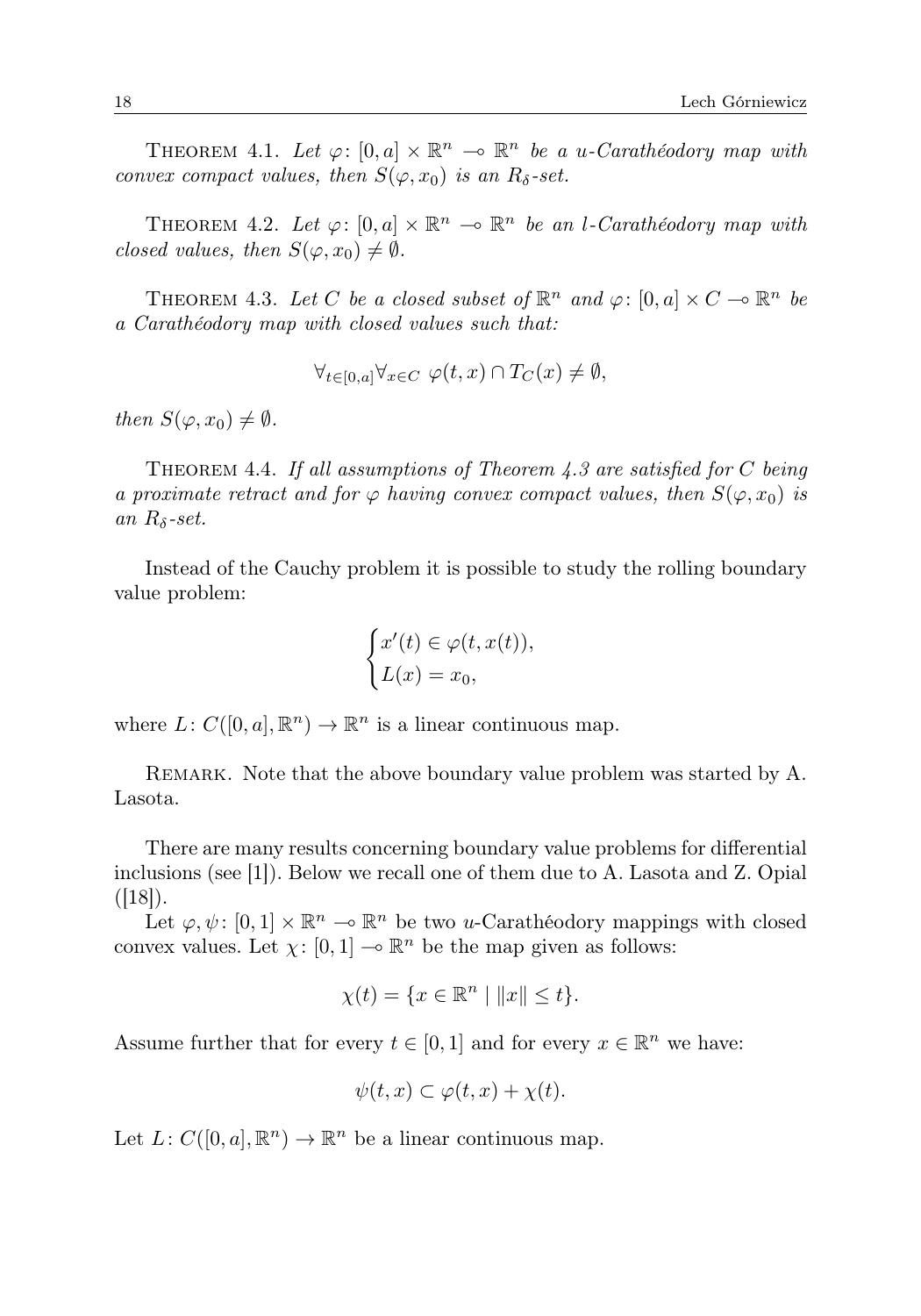THEOREM 4.1. Let  $\varphi: [0, a] \times \mathbb{R}^n \to \mathbb{R}^n$  be a u-Carathéodory map with convex compact values, then  $S(\varphi, x_0)$  is an  $R_\delta$ -set.

THEOREM 4.2. Let  $\varphi: [0, a] \times \mathbb{R}^n \to \mathbb{R}^n$  be an l-Carathéodory map with closed values, then  $S(\varphi, x_0) \neq \emptyset$ .

THEOREM 4.3. Let C be a closed subset of  $\mathbb{R}^n$  and  $\varphi: [0, a] \times C \to \mathbb{R}^n$  be a Carathéodory map with closed values such that:

$$
\forall_{t \in [0,a]} \forall_{x \in C} \varphi(t,x) \cap T_C(x) \neq \emptyset,
$$

then  $S(\varphi, x_0) \neq \emptyset$ .

THEOREM 4.4. If all assumptions of Theorem 4.3 are satisfied for  $C$  being a proximate retract and for  $\varphi$  having convex compact values, then  $S(\varphi, x_0)$  is an  $R_{\delta}$ -set.

Instead of the Cauchy problem it is possible to study the rolling boundary value problem:

$$
\begin{cases} x'(t) \in \varphi(t, x(t)), \\ L(x) = x_0, \end{cases}
$$

where  $L: C([0, a], \mathbb{R}^n) \to \mathbb{R}^n$  is a linear continuous map.

REMARK. Note that the above boundary value problem was started by A. Lasota.

There are many results concerning boundary value problems for differential inclusions (see [1]). Below we recall one of them due to A. Lasota and Z. Opial  $([18])$ .

Let  $\varphi, \psi \colon [0,1] \times \mathbb{R}^n \to \mathbb{R}^n$  be two u-Carathéodory mappings with closed convex values. Let  $\chi: [0, 1] \longrightarrow \mathbb{R}^n$  be the map given as follows:

$$
\chi(t) = \{ x \in \mathbb{R}^n \mid ||x|| \le t \}.
$$

Assume further that for every  $t \in [0,1]$  and for every  $x \in \mathbb{R}^n$  we have:

$$
\psi(t,x)\subset\varphi(t,x)+\chi(t).
$$

Let  $L: C([0, a], \mathbb{R}^n) \to \mathbb{R}^n$  be a linear continuous map.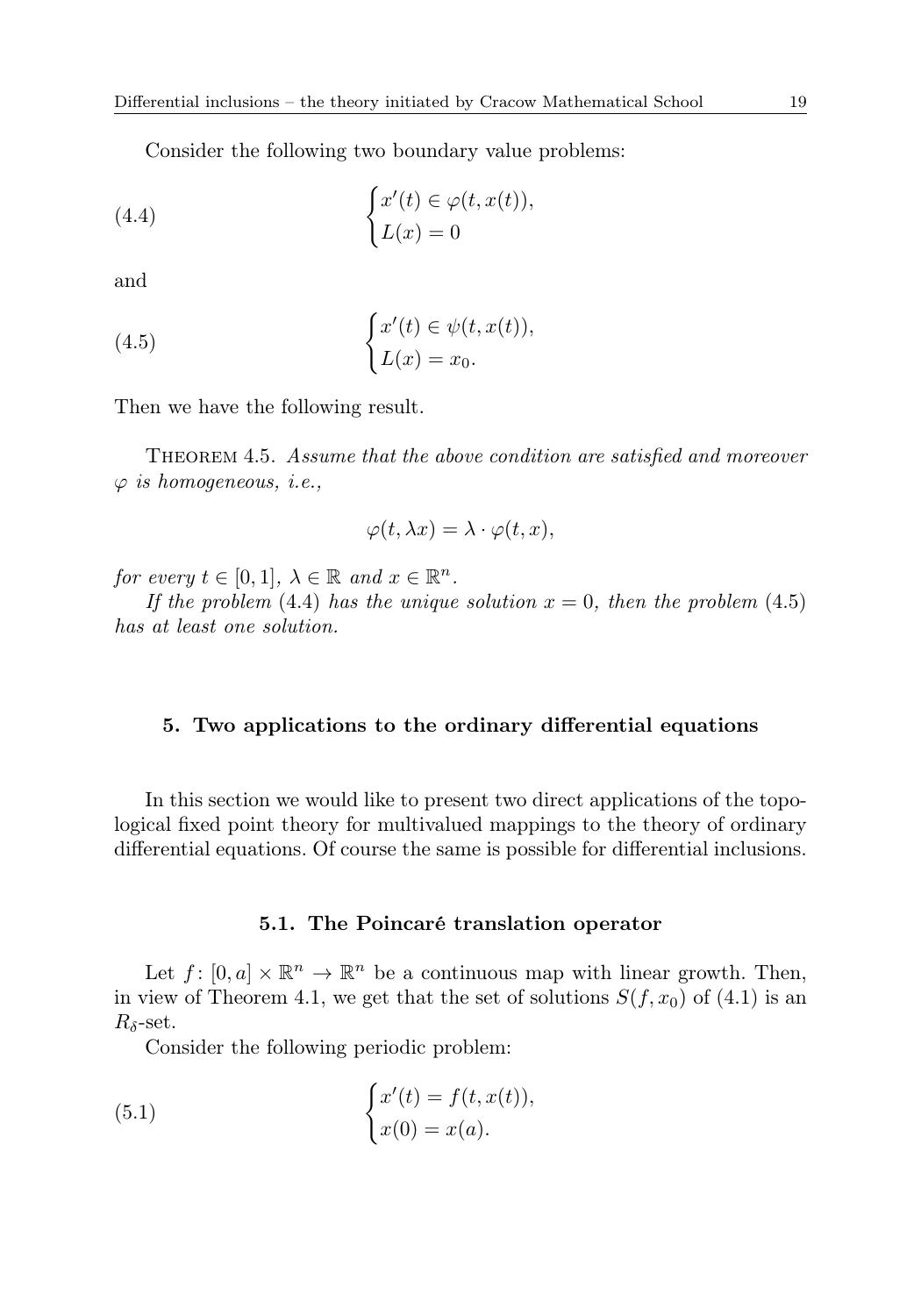Consider the following two boundary value problems:

(4.4) 
$$
\begin{cases} x'(t) \in \varphi(t, x(t)), \\ L(x) = 0 \end{cases}
$$

and

(4.5) 
$$
\begin{cases} x'(t) \in \psi(t, x(t)), \\ L(x) = x_0. \end{cases}
$$

Then we have the following result.

Theorem 4.5. Assume that the above condition are satisfied and moreover  $\varphi$  is homogeneous, i.e.,

$$
\varphi(t,\lambda x)=\lambda\cdot\varphi(t,x),
$$

for every  $t \in [0,1], \lambda \in \mathbb{R}$  and  $x \in \mathbb{R}^n$ .

If the problem (4.4) has the unique solution  $x = 0$ , then the problem (4.5) has at least one solution.

## 5. Two applications to the ordinary differential equations

In this section we would like to present two direct applications of the topological fixed point theory for multivalued mappings to the theory of ordinary differential equations. Of course the same is possible for differential inclusions.

## 5.1. The Poincaré translation operator

Let  $f: [0, a] \times \mathbb{R}^n \to \mathbb{R}^n$  be a continuous map with linear growth. Then, in view of Theorem 4.1, we get that the set of solutions  $S(f, x_0)$  of (4.1) is an  $R_{\delta}$ -set.

Consider the following periodic problem:

(5.1) 
$$
\begin{cases} x'(t) = f(t, x(t)), \\ x(0) = x(a). \end{cases}
$$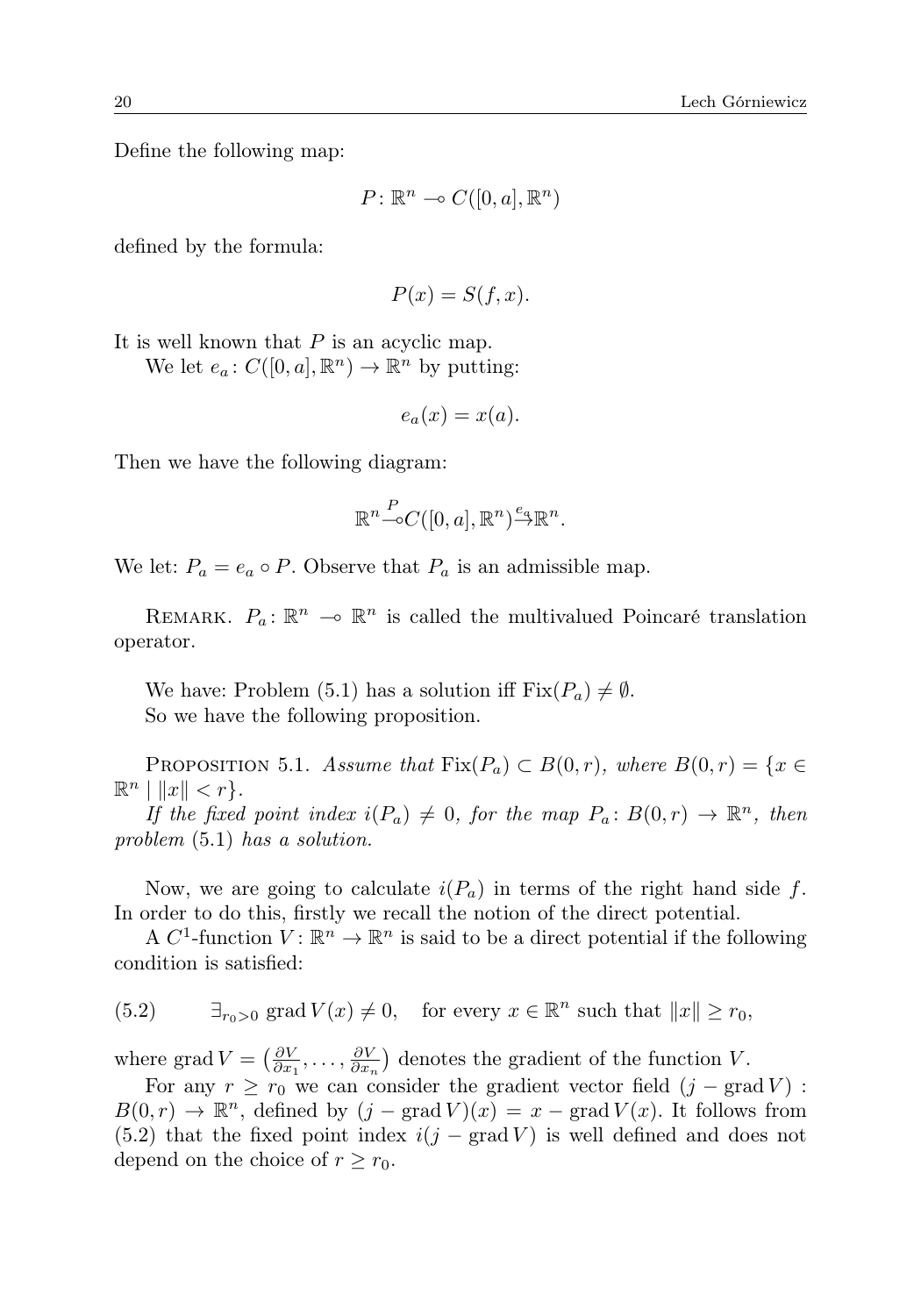Define the following map:

$$
P\colon\mathbb{R}^n\multimap C([0,a],\mathbb{R}^n)
$$

defined by the formula:

$$
P(x) = S(f, x).
$$

It is well known that  $P$  is an acyclic map.

We let  $e_a: C([0, a], \mathbb{R}^n) \to \mathbb{R}^n$  by putting:

$$
e_a(x) = x(a).
$$

Then we have the following diagram:

$$
\mathbb{R}^n {\mathop{\to}\limits^{P}} C([0,a],\mathbb{R}^n) {\mathop{\to}\limits^{e_a}} \mathbb{R}^n.
$$

We let:  $P_a = e_a \circ P$ . Observe that  $P_a$  is an admissible map.

REMARK.  $P_a: \mathbb{R}^n \to \mathbb{R}^n$  is called the multivalued Poincaré translation operator.

We have: Problem (5.1) has a solution iff  $Fix(P_a) \neq \emptyset$ . So we have the following proposition.

PROPOSITION 5.1. Assume that  $Fix(P_a) \subset B(0,r)$ , where  $B(0,r) = \{x \in$  $\mathbb{R}^n$   $\left| \left\| x \right\| < r \right\}.$ 

If the fixed point index  $i(P_a) \neq 0$ , for the map  $P_a : B(0,r) \to \mathbb{R}^n$ , then problem (5.1) has a solution.

Now, we are going to calculate  $i(P_a)$  in terms of the right hand side f. In order to do this, firstly we recall the notion of the direct potential.

A  $C^1$ -function  $V: \mathbb{R}^n \to \mathbb{R}^n$  is said to be a direct potential if the following condition is satisfied:

(5.2) 
$$
\exists_{r_0>0} \text{ grad } V(x) \neq 0
$$
, for every  $x \in \mathbb{R}^n$  such that  $||x|| \geq r_0$ ,

where grad  $V = \left(\frac{\partial V}{\partial x_1}, \ldots, \frac{\partial V}{\partial x_n}\right)$  denotes the gradient of the function V.

For any  $r \ge r_0$  we can consider the gradient vector field  $(j - \text{grad } V)$ :  $B(0,r) \to \mathbb{R}^n$ , defined by  $(j - \text{grad } V)(x) = x - \text{grad } V(x)$ . It follows from (5.2) that the fixed point index  $i(j - \text{grad } V)$  is well defined and does not depend on the choice of  $r \geq r_0$ .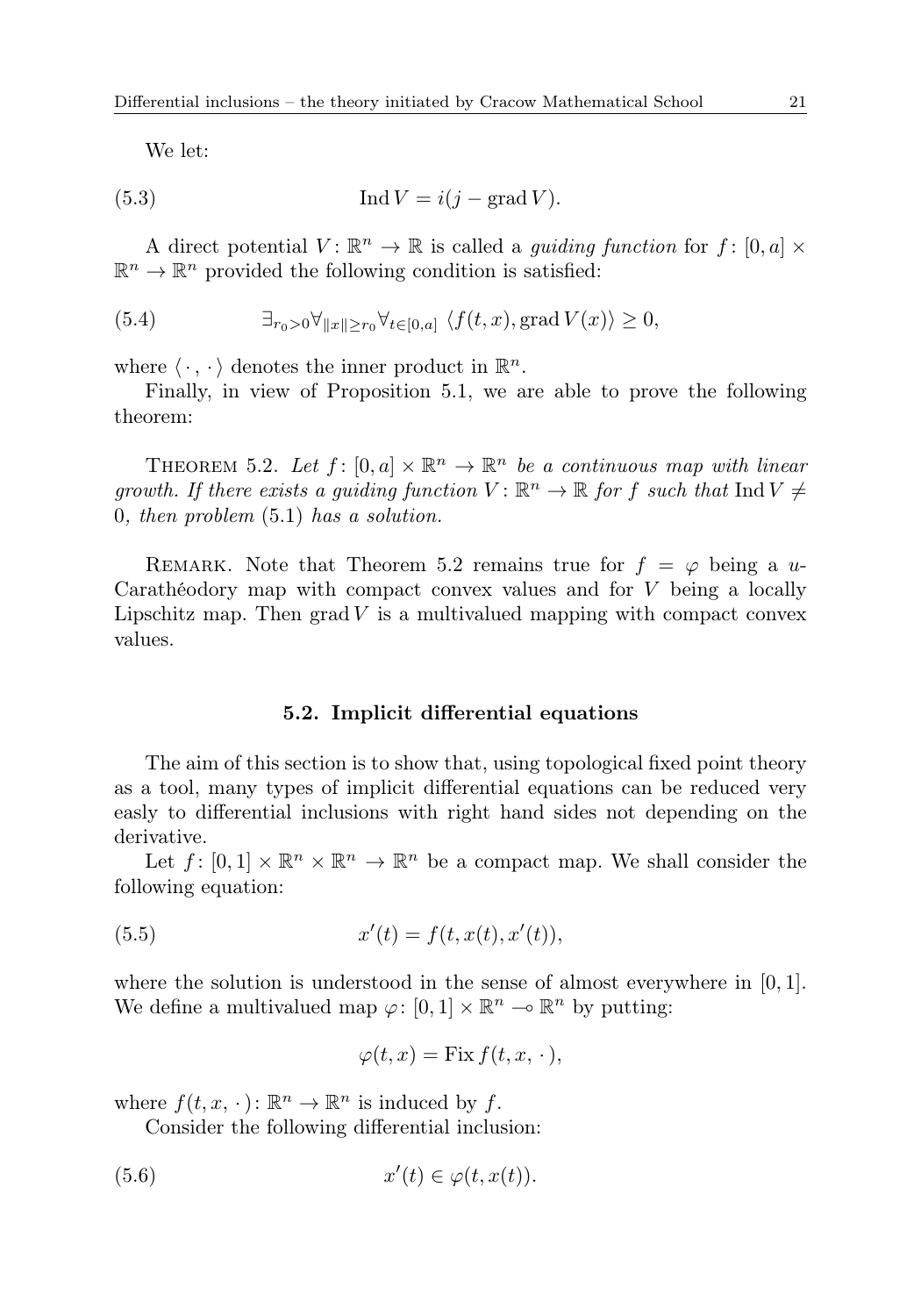We let:

(5.3) 
$$
\operatorname{Ind} V = i(j - \operatorname{grad} V).
$$

A direct potential  $V: \mathbb{R}^n \to \mathbb{R}$  is called a *guiding function* for  $f: [0, a] \times$  $\mathbb{R}^n \to \mathbb{R}^n$  provided the following condition is satisfied:

(5.4) 
$$
\exists_{r_0>0}\forall_{\|x\|\geq r_0}\forall_{t\in[0,a]}\ \langle f(t,x),\operatorname{grad} V(x)\rangle\geq 0,
$$

where  $\langle \cdot, \cdot \rangle$  denotes the inner product in  $\mathbb{R}^n$ .

Finally, in view of Proposition 5.1, we are able to prove the following theorem:

THEOREM 5.2. Let  $f: [0, a] \times \mathbb{R}^n \to \mathbb{R}^n$  be a continuous map with linear growth. If there exists a guiding function  $V: \mathbb{R}^n \to \mathbb{R}$  for f such that  $\text{Ind } V \neq$ 0, then problem (5.1) has a solution.

REMARK. Note that Theorem 5.2 remains true for  $f = \varphi$  being a u-Carathéodory map with compact convex values and for V being a locally Lipschitz map. Then  $\operatorname{grad} V$  is a multivalued mapping with compact convex values.

## 5.2. Implicit differential equations

The aim of this section is to show that, using topological fixed point theory as a tool, many types of implicit differential equations can be reduced very easly to differential inclusions with right hand sides not depending on the derivative.

Let  $f: [0,1] \times \mathbb{R}^n \times \mathbb{R}^n \to \mathbb{R}^n$  be a compact map. We shall consider the following equation:

(5.5) 
$$
x'(t) = f(t, x(t), x'(t)),
$$

where the solution is understood in the sense of almost everywhere in  $[0, 1]$ . We define a multivalued map  $\varphi: [0,1] \times \mathbb{R}^n \to \mathbb{R}^n$  by putting:

$$
\varphi(t,x) = \text{Fix}\, f(t,x,\,\cdot\,),
$$

where  $f(t, x, \cdot) \colon \mathbb{R}^n \to \mathbb{R}^n$  is induced by f.

Consider the following differential inclusion:

$$
(5.6) \t x'(t) \in \varphi(t, x(t)).
$$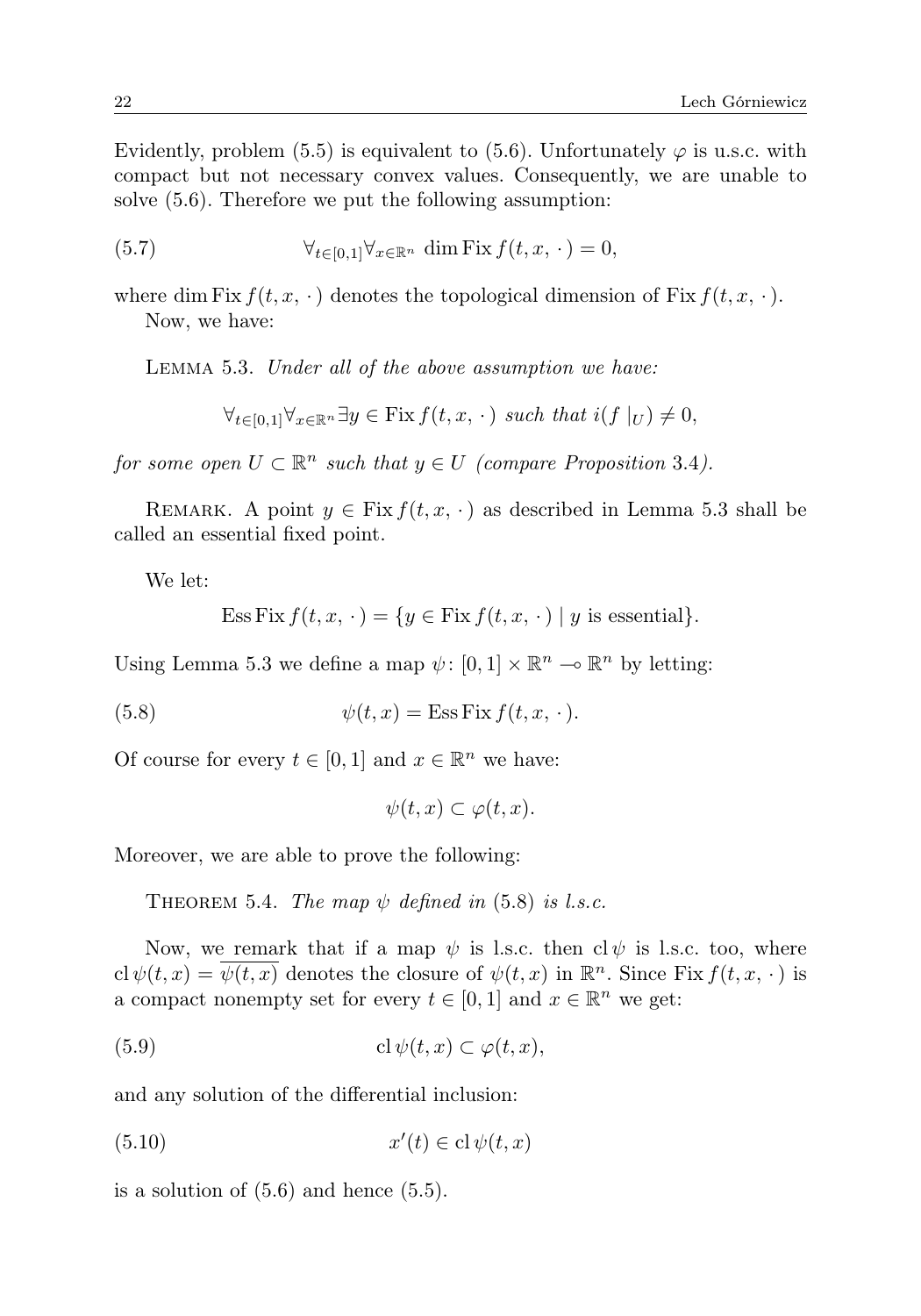Evidently, problem (5.5) is equivalent to (5.6). Unfortunately  $\varphi$  is u.s.c. with compact but not necessary convex values. Consequently, we are unable to solve (5.6). Therefore we put the following assumption:

(5.7) 
$$
\forall_{t \in [0,1]} \forall_{x \in \mathbb{R}^n} \dim \text{Fix } f(t,x,\,\cdot\,) = 0,
$$

where dim Fix  $f(t, x, \cdot)$  denotes the topological dimension of Fix  $f(t, x, \cdot)$ . Now, we have:

Lemma 5.3. Under all of the above assumption we have:

$$
\forall_{t \in [0,1]} \forall_{x \in \mathbb{R}^n} \exists y \in \text{Fix } f(t, x, \cdot) \text{ such that } i(f \mid_{U}) \neq 0,
$$

for some open  $U \subset \mathbb{R}^n$  such that  $y \in U$  (compare Proposition 3.4).

REMARK. A point  $y \in \text{Fix } f(t, x, \cdot)$  as described in Lemma 5.3 shall be called an essential fixed point.

We let:

Ess Fix 
$$
f(t, x, \cdot) = \{y \in \text{Fix } f(t, x, \cdot) \mid y \text{ is essential}\}.
$$

Using Lemma 5.3 we define a map  $\psi$ :  $[0, 1] \times \mathbb{R}^n \to \mathbb{R}^n$  by letting:

(5.8) 
$$
\psi(t,x) = \text{Ess Fix } f(t,x,\cdot).
$$

Of course for every  $t \in [0,1]$  and  $x \in \mathbb{R}^n$  we have:

 $\psi(t, x) \subset \varphi(t, x)$ .

Moreover, we are able to prove the following:

THEOREM 5.4. The map  $\psi$  defined in (5.8) is l.s.c.

Now, we remark that if a map  $\psi$  is l.s.c. then cl $\psi$  is l.s.c. too, where cl  $\psi(t,x) = \overline{\psi(t,x)}$  denotes the closure of  $\psi(t,x)$  in  $\mathbb{R}^n$ . Since Fix  $f(t,x, \cdot)$  is a compact nonempty set for every  $t \in [0,1]$  and  $x \in \mathbb{R}^n$  we get:

(5.9) 
$$
\operatorname{cl}\psi(t,x)\subset\varphi(t,x),
$$

and any solution of the differential inclusion:

$$
(5.10) \t\t x'(t) \in \mathrm{cl}\,\psi(t,x)
$$

is a solution of  $(5.6)$  and hence  $(5.5)$ .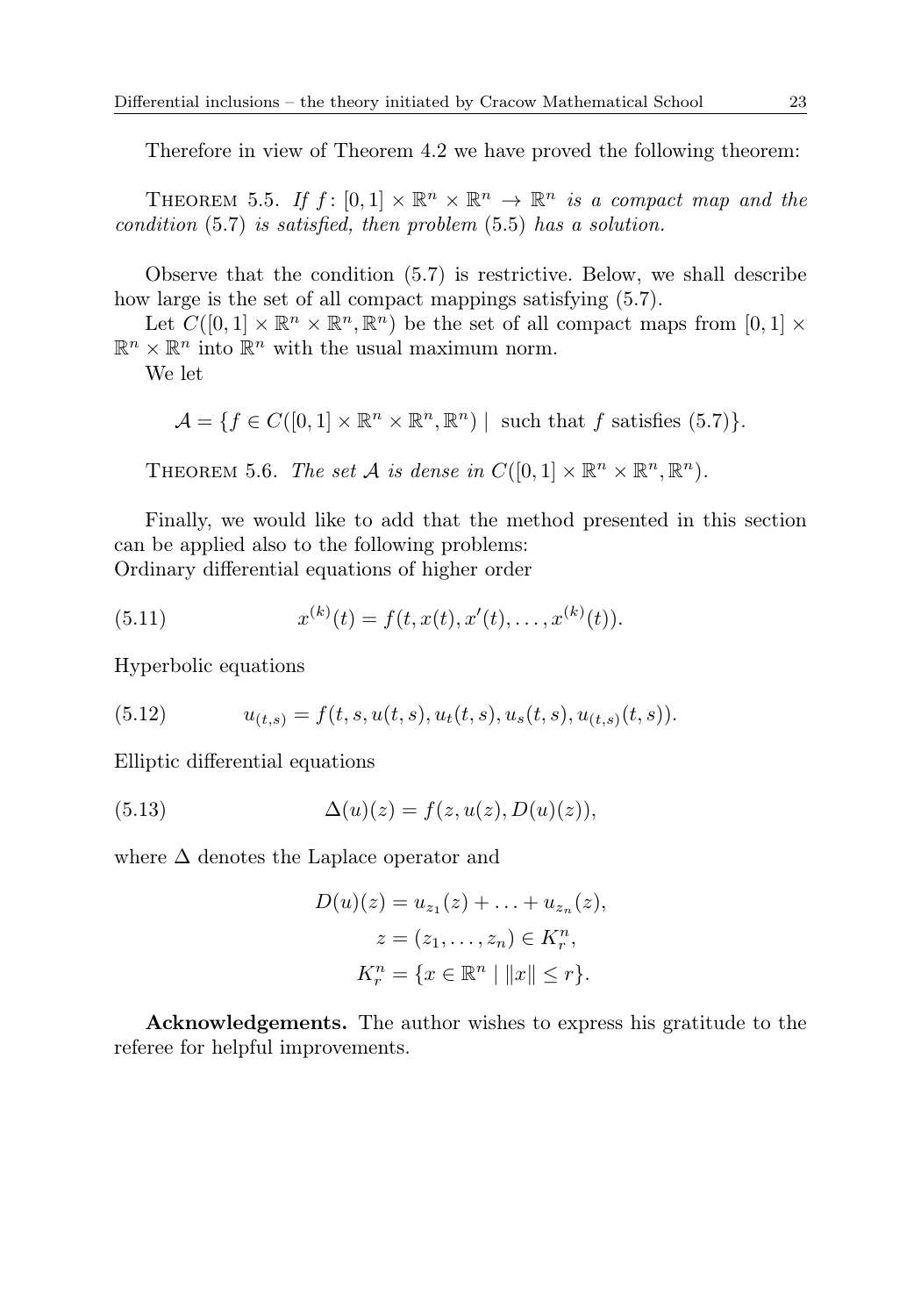Therefore in view of Theorem 4.2 we have proved the following theorem:

THEOREM 5.5. If  $f : [0,1] \times \mathbb{R}^n \times \mathbb{R}^n \to \mathbb{R}^n$  is a compact map and the condition (5.7) is satisfied, then problem (5.5) has a solution.

Observe that the condition (5.7) is restrictive. Below, we shall describe how large is the set of all compact mappings satisfying (5.7).

Let  $C([0,1] \times \mathbb{R}^n \times \mathbb{R}^n, \mathbb{R}^n)$  be the set of all compact maps from  $[0,1] \times$  $\mathbb{R}^n \times \mathbb{R}^n$  into  $\mathbb{R}^n$  with the usual maximum norm.

We let

$$
\mathcal{A} = \{ f \in C([0,1] \times \mathbb{R}^n \times \mathbb{R}^n, \mathbb{R}^n) \mid \text{ such that } f \text{ satisfies (5.7)} \}.
$$

THEOREM 5.6. The set A is dense in  $C([0,1] \times \mathbb{R}^n \times \mathbb{R}^n, \mathbb{R}^n)$ .

Finally, we would like to add that the method presented in this section can be applied also to the following problems: Ordinary differential equations of higher order

(5.11) 
$$
x^{(k)}(t) = f(t, x(t), x'(t), \dots, x^{(k)}(t)).
$$

Hyperbolic equations

(5.12) 
$$
u_{(t,s)} = f(t,s,u(t,s),u_t(t,s),u_s(t,s),u_{(t,s)}(t,s)).
$$

Elliptic differential equations

(5.13) 
$$
\Delta(u)(z) = f(z, u(z), D(u)(z)),
$$

where  $\Delta$  denotes the Laplace operator and

$$
D(u)(z) = u_{z_1}(z) + \ldots + u_{z_n}(z),
$$
  
\n
$$
z = (z_1, \ldots, z_n) \in K_r^n,
$$
  
\n
$$
K_r^n = \{x \in \mathbb{R}^n \mid ||x|| \le r\}.
$$

Acknowledgements. The author wishes to express his gratitude to the referee for helpful improvements.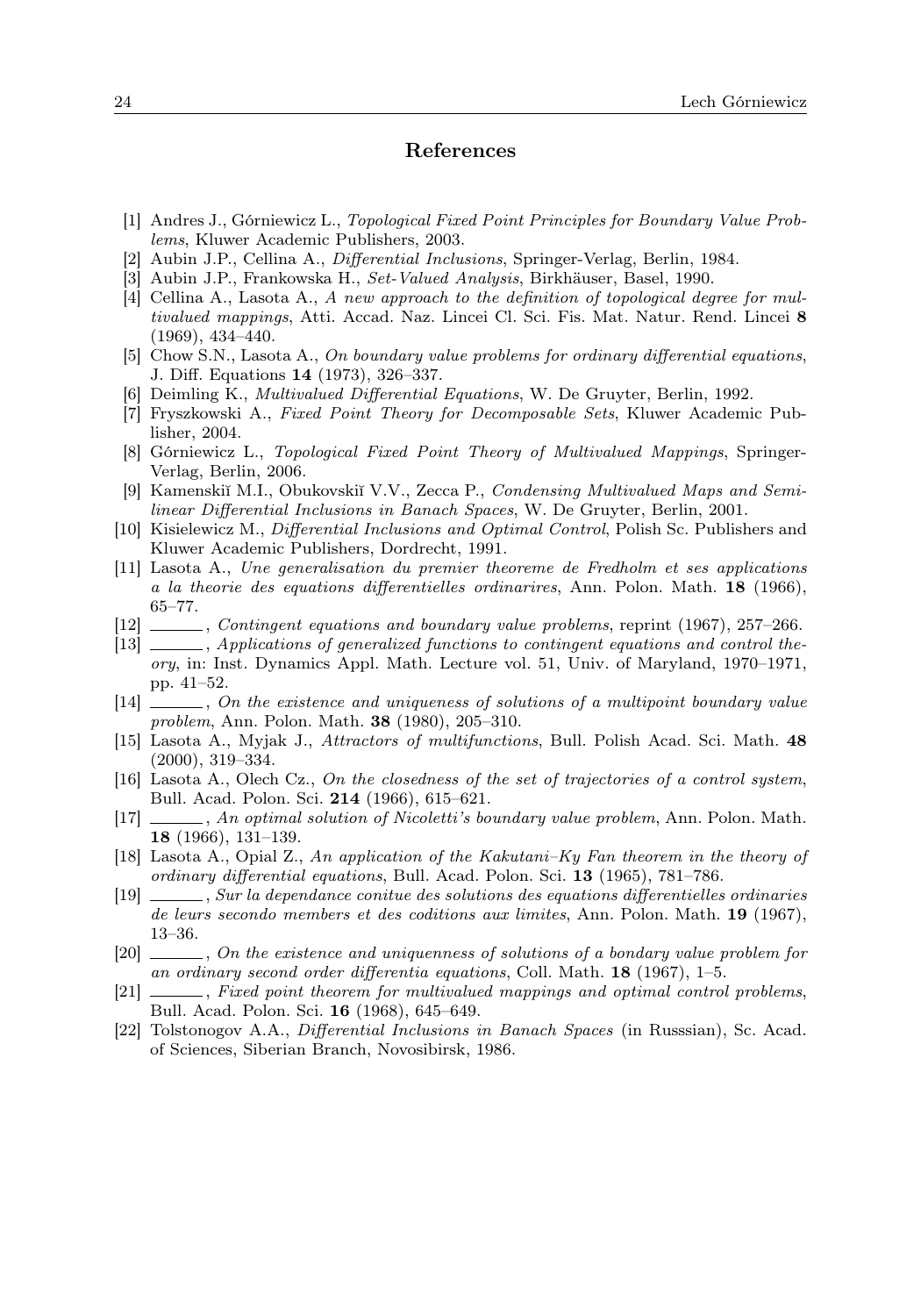#### References

- [1] Andres J., Górniewicz L., Topological Fixed Point Principles for Boundary Value Problems, Kluwer Academic Publishers, 2003.
- [2] Aubin J.P., Cellina A., Differential Inclusions, Springer-Verlag, Berlin, 1984.
- [3] Aubin J.P., Frankowska H., Set-Valued Analysis, Birkhäuser, Basel, 1990.
- [4] Cellina A., Lasota A., A new approach to the definition of topological degree for multivalued mappings, Atti. Accad. Naz. Lincei Cl. Sci. Fis. Mat. Natur. Rend. Lincei 8 (1969), 434–440.
- [5] Chow S.N., Lasota A., On boundary value problems for ordinary differential equations, J. Diff. Equations 14 (1973), 326–337.
- [6] Deimling K., Multivalued Differential Equations, W. De Gruyter, Berlin, 1992.
- [7] Fryszkowski A., Fixed Point Theory for Decomposable Sets, Kluwer Academic Publisher, 2004.
- [8] Górniewicz L., Topological Fixed Point Theory of Multivalued Mappings, Springer-Verlag, Berlin, 2006.
- [9] Kamenskiı̆ M.I., Obukovskiı̆ V.V., Zecca P., Condensing Multivalued Maps and Semilinear Differential Inclusions in Banach Spaces, W. De Gruyter, Berlin, 2001.
- [10] Kisielewicz M., Differential Inclusions and Optimal Control, Polish Sc. Publishers and Kluwer Academic Publishers, Dordrecht, 1991.
- [11] Lasota A., Une generalisation du premier theoreme de Fredholm et ses applications a la theorie des equations differentielles ordinarires, Ann. Polon. Math. 18 (1966), 65–77.
- [12] , Contingent equations and boundary value problems, reprint (1967), 257–266.
- [13]  $\_\_\_\_\$ , Applications of generalized functions to contingent equations and control theory, in: Inst. Dynamics Appl. Math. Lecture vol. 51, Univ. of Maryland, 1970–1971, pp. 41–52.
- [14]  $\ldots$ , On the existence and uniqueness of solutions of a multipoint boundary value problem, Ann. Polon. Math. 38 (1980), 205–310.
- [15] Lasota A., Myjak J., Attractors of multifunctions, Bull. Polish Acad. Sci. Math. 48 (2000), 319–334.
- [16] Lasota A., Olech Cz., On the closedness of the set of trajectories of a control system, Bull. Acad. Polon. Sci. 214 (1966), 615–621.
- [17] , An optimal solution of Nicoletti's boundary value problem, Ann. Polon. Math. 18 (1966), 131–139.
- [18] Lasota A., Opial Z., An application of the Kakutani–Ky Fan theorem in the theory of ordinary differential equations, Bull. Acad. Polon. Sci. 13 (1965), 781–786.
- [19] , Sur la dependance conitue des solutions des equations differentielles ordinaries de leurs secondo members et des coditions aux limites, Ann. Polon. Math. 19 (1967), 13–36.
- [20] , On the existence and uniquenness of solutions of a bondary value problem for an ordinary second order differentia equations, Coll. Math. 18 (1967), 1–5.
- [21] , Fixed point theorem for multivalued mappings and optimal control problems, Bull. Acad. Polon. Sci. 16 (1968), 645–649.
- [22] Tolstonogov A.A., Differential Inclusions in Banach Spaces (in Russsian), Sc. Acad. of Sciences, Siberian Branch, Novosibirsk, 1986.